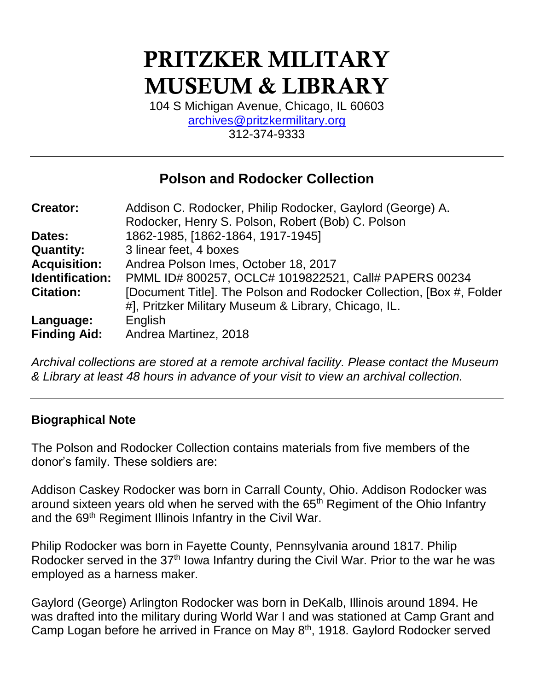# PRITZKER MILITARY MUSEUM & LIBRARY

104 S Michigan Avenue, Chicago, IL 60603 [archives@pritzkermilitary.org](mailto:archives@pritzkermilitary.org) 312-374-9333

# **Polson and Rodocker Collection**

| <b>Creator:</b>     | Addison C. Rodocker, Philip Rodocker, Gaylord (George) A.            |
|---------------------|----------------------------------------------------------------------|
|                     | Rodocker, Henry S. Polson, Robert (Bob) C. Polson                    |
| Dates:              | 1862-1985, [1862-1864, 1917-1945]                                    |
| <b>Quantity:</b>    | 3 linear feet, 4 boxes                                               |
| <b>Acquisition:</b> | Andrea Polson Imes, October 18, 2017                                 |
| Identification:     | PMML ID# 800257, OCLC# 1019822521, Call# PAPERS 00234                |
| <b>Citation:</b>    | [Document Title]. The Polson and Rodocker Collection, [Box #, Folder |
|                     | #], Pritzker Military Museum & Library, Chicago, IL.                 |
| Language:           | English                                                              |
| <b>Finding Aid:</b> | Andrea Martinez, 2018                                                |

*Archival collections are stored at a remote archival facility. Please contact the Museum & Library at least 48 hours in advance of your visit to view an archival collection.*

#### **Biographical Note**

The Polson and Rodocker Collection contains materials from five members of the donor's family. These soldiers are:

Addison Caskey Rodocker was born in Carrall County, Ohio. Addison Rodocker was around sixteen years old when he served with the 65<sup>th</sup> Regiment of the Ohio Infantry and the 69<sup>th</sup> Regiment Illinois Infantry in the Civil War.

Philip Rodocker was born in Fayette County, Pennsylvania around 1817. Philip Rodocker served in the 37<sup>th</sup> Iowa Infantry during the Civil War. Prior to the war he was employed as a harness maker.

Gaylord (George) Arlington Rodocker was born in DeKalb, Illinois around 1894. He was drafted into the military during World War I and was stationed at Camp Grant and Camp Logan before he arrived in France on May 8<sup>th</sup>, 1918. Gaylord Rodocker served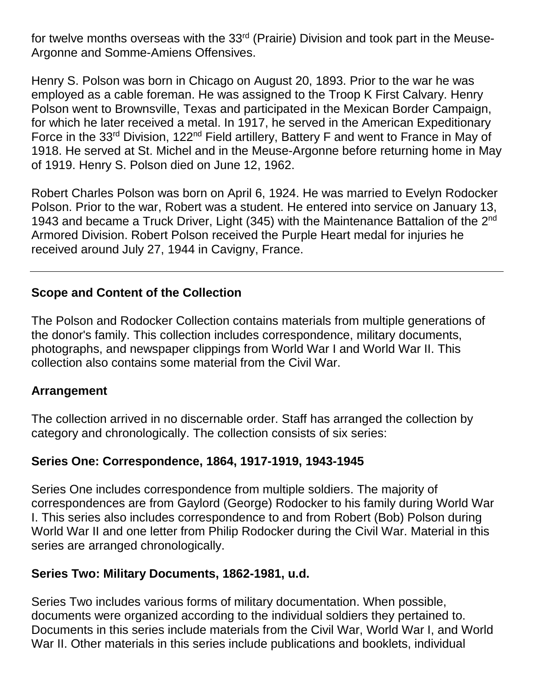for twelve months overseas with the  $33<sup>rd</sup>$  (Prairie) Division and took part in the Meuse-Argonne and Somme-Amiens Offensives.

Henry S. Polson was born in Chicago on August 20, 1893. Prior to the war he was employed as a cable foreman. He was assigned to the Troop K First Calvary. Henry Polson went to Brownsville, Texas and participated in the Mexican Border Campaign, for which he later received a metal. In 1917, he served in the American Expeditionary Force in the 33<sup>rd</sup> Division, 122<sup>nd</sup> Field artillery, Battery F and went to France in May of 1918. He served at St. Michel and in the Meuse-Argonne before returning home in May of 1919. Henry S. Polson died on June 12, 1962.

Robert Charles Polson was born on April 6, 1924. He was married to Evelyn Rodocker Polson. Prior to the war, Robert was a student. He entered into service on January 13, 1943 and became a Truck Driver, Light (345) with the Maintenance Battalion of the  $2^{nd}$ Armored Division. Robert Polson received the Purple Heart medal for injuries he received around July 27, 1944 in Cavigny, France.

### **Scope and Content of the Collection**

The Polson and Rodocker Collection contains materials from multiple generations of the donor's family. This collection includes correspondence, military documents, photographs, and newspaper clippings from World War I and World War II. This collection also contains some material from the Civil War.

#### **Arrangement**

The collection arrived in no discernable order. Staff has arranged the collection by category and chronologically. The collection consists of six series:

#### **Series One: Correspondence, 1864, 1917-1919, 1943-1945**

Series One includes correspondence from multiple soldiers. The majority of correspondences are from Gaylord (George) Rodocker to his family during World War I. This series also includes correspondence to and from Robert (Bob) Polson during World War II and one letter from Philip Rodocker during the Civil War. Material in this series are arranged chronologically.

#### **Series Two: Military Documents, 1862-1981, u.d.**

Series Two includes various forms of military documentation. When possible, documents were organized according to the individual soldiers they pertained to. Documents in this series include materials from the Civil War, World War I, and World War II. Other materials in this series include publications and booklets, individual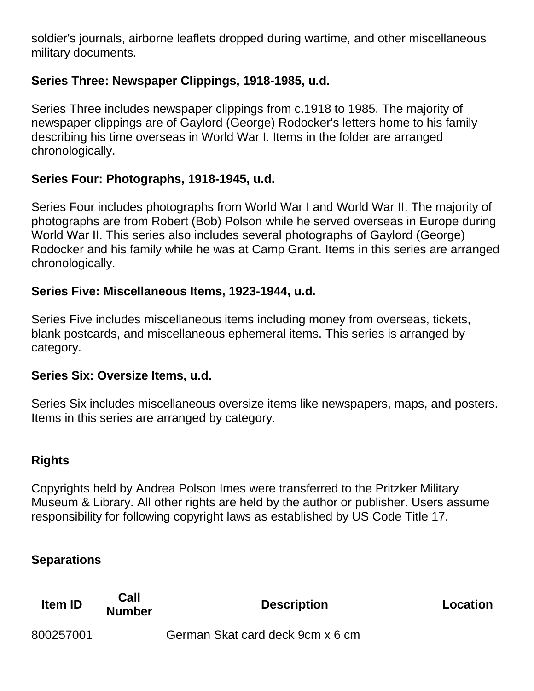soldier's journals, airborne leaflets dropped during wartime, and other miscellaneous military documents.

## **Series Three: Newspaper Clippings, 1918-1985, u.d.**

Series Three includes newspaper clippings from c.1918 to 1985. The majority of newspaper clippings are of Gaylord (George) Rodocker's letters home to his family describing his time overseas in World War I. Items in the folder are arranged chronologically.

## **Series Four: Photographs, 1918-1945, u.d.**

Series Four includes photographs from World War I and World War II. The majority of photographs are from Robert (Bob) Polson while he served overseas in Europe during World War II. This series also includes several photographs of Gaylord (George) Rodocker and his family while he was at Camp Grant. Items in this series are arranged chronologically.

### **Series Five: Miscellaneous Items, 1923-1944, u.d.**

Series Five includes miscellaneous items including money from overseas, tickets, blank postcards, and miscellaneous ephemeral items. This series is arranged by category.

#### **Series Six: Oversize Items, u.d.**

Series Six includes miscellaneous oversize items like newspapers, maps, and posters. Items in this series are arranged by category.

## **Rights**

Copyrights held by Andrea Polson Imes were transferred to the Pritzker Military Museum & Library. All other rights are held by the author or publisher. Users assume responsibility for following copyright laws as established by US Code Title 17.

## **Separations**

| <b>Item ID</b> | Call<br><b>Number</b> | <b>Description</b>               | Location |
|----------------|-----------------------|----------------------------------|----------|
| 800257001      |                       | German Skat card deck 9cm x 6 cm |          |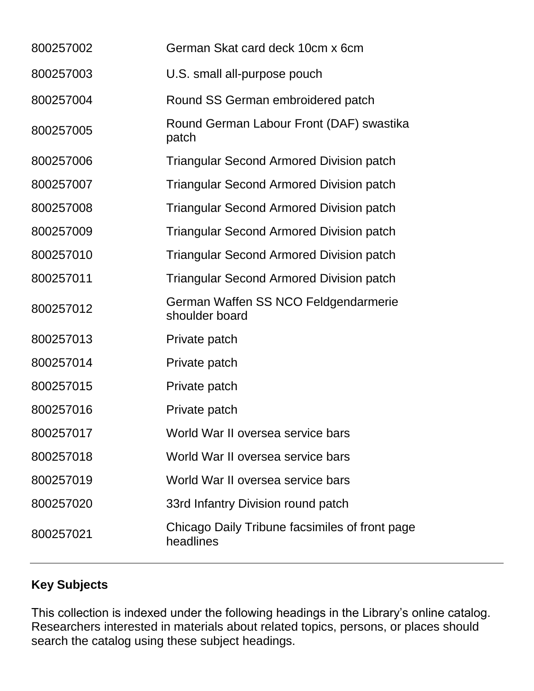| 800257002 | German Skat card deck 10cm x 6cm                            |
|-----------|-------------------------------------------------------------|
| 800257003 | U.S. small all-purpose pouch                                |
| 800257004 | Round SS German embroidered patch                           |
| 800257005 | Round German Labour Front (DAF) swastika<br>patch           |
| 800257006 | <b>Triangular Second Armored Division patch</b>             |
| 800257007 | <b>Triangular Second Armored Division patch</b>             |
| 800257008 | <b>Triangular Second Armored Division patch</b>             |
| 800257009 | <b>Triangular Second Armored Division patch</b>             |
| 800257010 | <b>Triangular Second Armored Division patch</b>             |
| 800257011 | <b>Triangular Second Armored Division patch</b>             |
| 800257012 | German Waffen SS NCO Feldgendarmerie<br>shoulder board      |
| 800257013 | Private patch                                               |
| 800257014 | Private patch                                               |
| 800257015 | Private patch                                               |
| 800257016 | Private patch                                               |
| 800257017 | World War II oversea service bars                           |
| 800257018 | World War II oversea service bars                           |
| 800257019 | World War II oversea service bars                           |
| 800257020 | 33rd Infantry Division round patch                          |
| 800257021 | Chicago Daily Tribune facsimiles of front page<br>headlines |

# **Key Subjects**

This collection is indexed under the following headings in the Library's online catalog. Researchers interested in materials about related topics, persons, or places should search the catalog using these subject headings.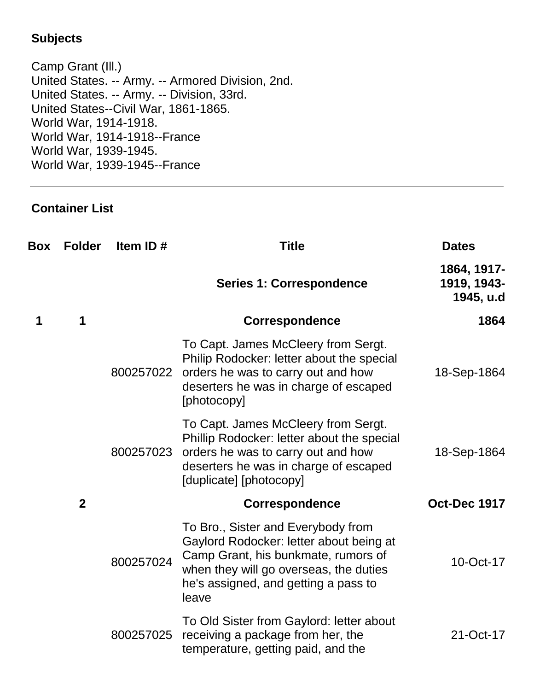## **Subjects**

Camp Grant (Ill.) United States. -- Army. -- Armored Division, 2nd. United States. -- Army. -- Division, 33rd. United States--Civil War, 1861-1865. World War, 1914-1918. World War, 1914-1918--France World War, 1939-1945. World War, 1939-1945--France

### **Container List**

| <b>Box</b> | <b>Folder</b>  | Item ID#  | <b>Title</b>                                                                                                                                                                                                    | <b>Dates</b>                            |
|------------|----------------|-----------|-----------------------------------------------------------------------------------------------------------------------------------------------------------------------------------------------------------------|-----------------------------------------|
|            |                |           | <b>Series 1: Correspondence</b>                                                                                                                                                                                 | 1864, 1917-<br>1919, 1943-<br>1945, u.d |
| 1          | 1              |           | <b>Correspondence</b>                                                                                                                                                                                           | 1864                                    |
|            |                | 800257022 | To Capt. James McCleery from Sergt.<br>Philip Rodocker: letter about the special<br>orders he was to carry out and how<br>deserters he was in charge of escaped<br>[photocopy]                                  | 18-Sep-1864                             |
|            |                | 800257023 | To Capt. James McCleery from Sergt.<br>Phillip Rodocker: letter about the special<br>orders he was to carry out and how<br>deserters he was in charge of escaped<br>[duplicate] [photocopy]                     | 18-Sep-1864                             |
|            | $\overline{2}$ |           | <b>Correspondence</b>                                                                                                                                                                                           | <b>Oct-Dec 1917</b>                     |
|            |                | 800257024 | To Bro., Sister and Everybody from<br>Gaylord Rodocker: letter about being at<br>Camp Grant, his bunkmate, rumors of<br>when they will go overseas, the duties<br>he's assigned, and getting a pass to<br>leave | 10-Oct-17                               |
|            |                | 800257025 | To Old Sister from Gaylord: letter about<br>receiving a package from her, the<br>temperature, getting paid, and the                                                                                             | 21-Oct-17                               |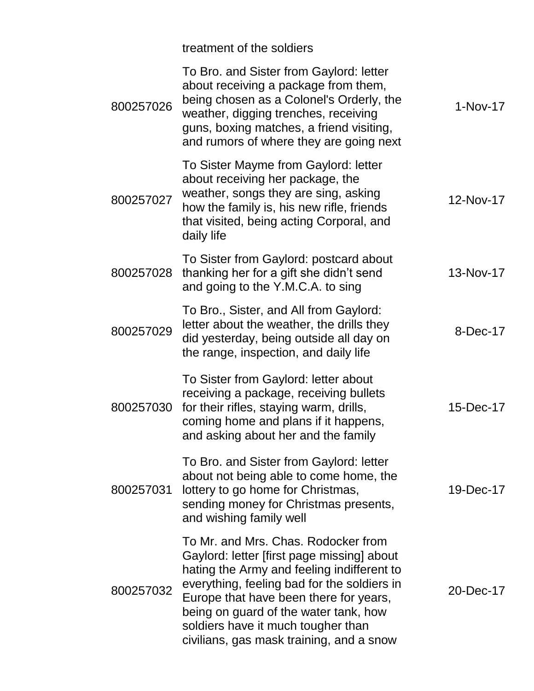|           | treatment of the soldiers                                                                                                                                                                                                                                                                                                                           |            |
|-----------|-----------------------------------------------------------------------------------------------------------------------------------------------------------------------------------------------------------------------------------------------------------------------------------------------------------------------------------------------------|------------|
| 800257026 | To Bro. and Sister from Gaylord: letter<br>about receiving a package from them,<br>being chosen as a Colonel's Orderly, the<br>weather, digging trenches, receiving<br>guns, boxing matches, a friend visiting,<br>and rumors of where they are going next                                                                                          | $1-Nov-17$ |
| 800257027 | To Sister Mayme from Gaylord: letter<br>about receiving her package, the<br>weather, songs they are sing, asking<br>how the family is, his new rifle, friends<br>that visited, being acting Corporal, and<br>daily life                                                                                                                             | 12-Nov-17  |
| 800257028 | To Sister from Gaylord: postcard about<br>thanking her for a gift she didn't send<br>and going to the Y.M.C.A. to sing                                                                                                                                                                                                                              | 13-Nov-17  |
| 800257029 | To Bro., Sister, and All from Gaylord:<br>letter about the weather, the drills they<br>did yesterday, being outside all day on<br>the range, inspection, and daily life                                                                                                                                                                             | 8-Dec-17   |
| 800257030 | To Sister from Gaylord: letter about<br>receiving a package, receiving bullets<br>for their rifles, staying warm, drills,<br>coming home and plans if it happens,<br>and asking about her and the family                                                                                                                                            | 15-Dec-17  |
| 800257031 | To Bro. and Sister from Gaylord: letter<br>about not being able to come home, the<br>lottery to go home for Christmas,<br>sending money for Christmas presents,<br>and wishing family well                                                                                                                                                          | 19-Dec-17  |
| 800257032 | To Mr. and Mrs. Chas. Rodocker from<br>Gaylord: letter [first page missing] about<br>hating the Army and feeling indifferent to<br>everything, feeling bad for the soldiers in<br>Europe that have been there for years,<br>being on guard of the water tank, how<br>soldiers have it much tougher than<br>civilians, gas mask training, and a snow | 20-Dec-17  |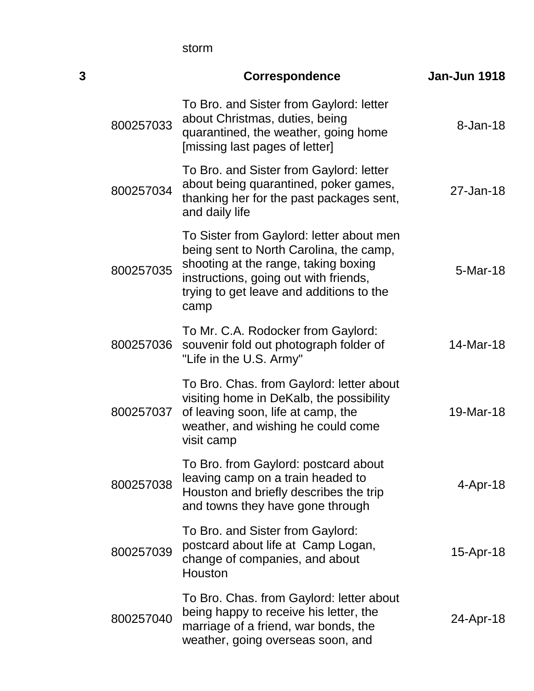storm

| 3 |           | <b>Correspondence</b>                                                                                                                                                                                                    | Jan-Jun 1918   |
|---|-----------|--------------------------------------------------------------------------------------------------------------------------------------------------------------------------------------------------------------------------|----------------|
|   | 800257033 | To Bro. and Sister from Gaylord: letter<br>about Christmas, duties, being<br>quarantined, the weather, going home<br>[missing last pages of letter]                                                                      | 8-Jan-18       |
|   | 800257034 | To Bro. and Sister from Gaylord: letter<br>about being quarantined, poker games,<br>thanking her for the past packages sent,<br>and daily life                                                                           | 27-Jan-18      |
|   | 800257035 | To Sister from Gaylord: letter about men<br>being sent to North Carolina, the camp,<br>shooting at the range, taking boxing<br>instructions, going out with friends,<br>trying to get leave and additions to the<br>camp | 5-Mar-18       |
|   | 800257036 | To Mr. C.A. Rodocker from Gaylord:<br>souvenir fold out photograph folder of<br>"Life in the U.S. Army"                                                                                                                  | 14-Mar-18      |
|   | 800257037 | To Bro. Chas. from Gaylord: letter about<br>visiting home in DeKalb, the possibility<br>of leaving soon, life at camp, the<br>weather, and wishing he could come<br>visit camp                                           | 19-Mar-18      |
|   | 800257038 | To Bro. from Gaylord: postcard about<br>leaving camp on a train headed to<br>Houston and briefly describes the trip<br>and towns they have gone through                                                                  | $4 - Apr - 18$ |
|   | 800257039 | To Bro. and Sister from Gaylord:<br>postcard about life at Camp Logan,<br>change of companies, and about<br>Houston                                                                                                      | 15-Apr-18      |
|   | 800257040 | To Bro. Chas. from Gaylord: letter about<br>being happy to receive his letter, the<br>marriage of a friend, war bonds, the<br>weather, going overseas soon, and                                                          | 24-Apr-18      |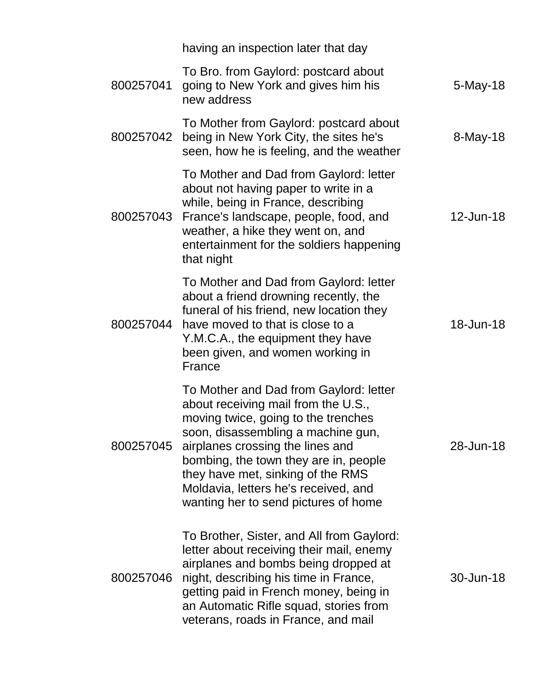|           | having an inspection later that day                                                                                                                                                                                                                                                                                                                          |           |
|-----------|--------------------------------------------------------------------------------------------------------------------------------------------------------------------------------------------------------------------------------------------------------------------------------------------------------------------------------------------------------------|-----------|
| 800257041 | To Bro. from Gaylord: postcard about<br>going to New York and gives him his<br>new address                                                                                                                                                                                                                                                                   | 5-May-18  |
| 800257042 | To Mother from Gaylord: postcard about<br>being in New York City, the sites he's<br>seen, how he is feeling, and the weather                                                                                                                                                                                                                                 | 8-May-18  |
| 800257043 | To Mother and Dad from Gaylord: letter<br>about not having paper to write in a<br>while, being in France, describing<br>France's landscape, people, food, and<br>weather, a hike they went on, and<br>entertainment for the soldiers happening<br>that night                                                                                                 | 12-Jun-18 |
| 800257044 | To Mother and Dad from Gaylord: letter<br>about a friend drowning recently, the<br>funeral of his friend, new location they<br>have moved to that is close to a<br>Y.M.C.A., the equipment they have<br>been given, and women working in<br>France                                                                                                           | 18-Jun-18 |
| 800257045 | To Mother and Dad from Gaylord: letter<br>about receiving mail from the U.S.,<br>moving twice, going to the trenches<br>soon, disassembling a machine gun,<br>airplanes crossing the lines and<br>bombing, the town they are in, people<br>they have met, sinking of the RMS<br>Moldavia, letters he's received, and<br>wanting her to send pictures of home | 28-Jun-18 |
| 800257046 | To Brother, Sister, and All from Gaylord:<br>letter about receiving their mail, enemy<br>airplanes and bombs being dropped at<br>night, describing his time in France,<br>getting paid in French money, being in<br>an Automatic Rifle squad, stories from<br>veterans, roads in France, and mail                                                            | 30-Jun-18 |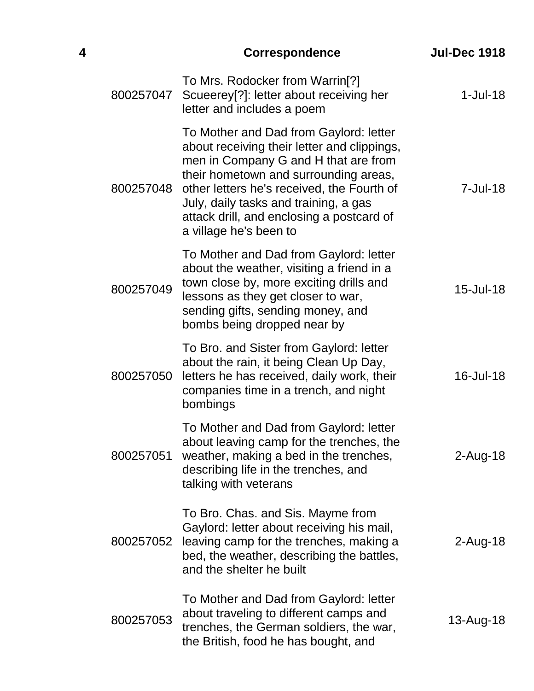| 4 |           | <b>Correspondence</b>                                                                                                                                                                                                                                                                                                                | <b>Jul-Dec 1918</b> |
|---|-----------|--------------------------------------------------------------------------------------------------------------------------------------------------------------------------------------------------------------------------------------------------------------------------------------------------------------------------------------|---------------------|
|   | 800257047 | To Mrs. Rodocker from Warrin <sup>[?]</sup><br>Scueerey[?]: letter about receiving her<br>letter and includes a poem                                                                                                                                                                                                                 | $1$ -Jul-18         |
|   | 800257048 | To Mother and Dad from Gaylord: letter<br>about receiving their letter and clippings,<br>men in Company G and H that are from<br>their hometown and surrounding areas,<br>other letters he's received, the Fourth of<br>July, daily tasks and training, a gas<br>attack drill, and enclosing a postcard of<br>a village he's been to | $7 -$ Jul $-18$     |
|   | 800257049 | To Mother and Dad from Gaylord: letter<br>about the weather, visiting a friend in a<br>town close by, more exciting drills and<br>lessons as they get closer to war,<br>sending gifts, sending money, and<br>bombs being dropped near by                                                                                             | 15-Jul-18           |
|   | 800257050 | To Bro. and Sister from Gaylord: letter<br>about the rain, it being Clean Up Day,<br>letters he has received, daily work, their<br>companies time in a trench, and night<br>bombings                                                                                                                                                 | 16-Jul-18           |
|   | 800257051 | To Mother and Dad from Gaylord: letter<br>about leaving camp for the trenches, the<br>weather, making a bed in the trenches,<br>describing life in the trenches, and<br>talking with veterans                                                                                                                                        | $2$ -Aug-18         |
|   | 800257052 | To Bro. Chas. and Sis. Mayme from<br>Gaylord: letter about receiving his mail,<br>leaving camp for the trenches, making a<br>bed, the weather, describing the battles,<br>and the shelter he built                                                                                                                                   | 2-Aug-18            |
|   | 800257053 | To Mother and Dad from Gaylord: letter<br>about traveling to different camps and<br>trenches, the German soldiers, the war,<br>the British, food he has bought, and                                                                                                                                                                  | 13-Aug-18           |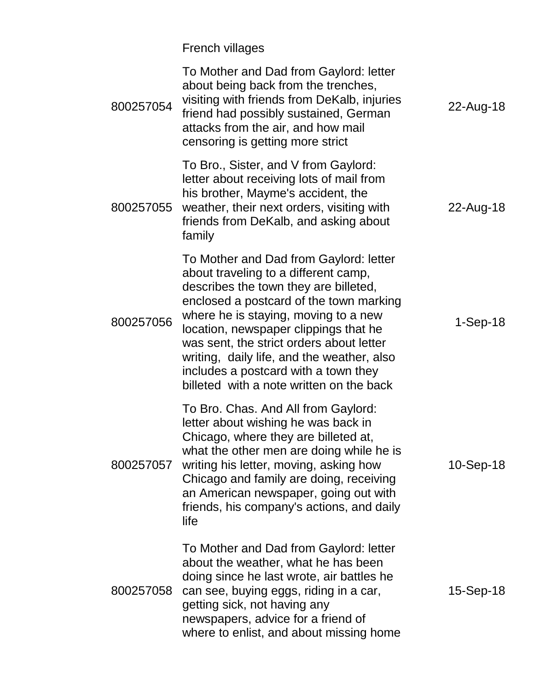|           | <b>French villages</b>                                                                                                                                                                                                                                                                                                                                                                                                            |             |
|-----------|-----------------------------------------------------------------------------------------------------------------------------------------------------------------------------------------------------------------------------------------------------------------------------------------------------------------------------------------------------------------------------------------------------------------------------------|-------------|
| 800257054 | To Mother and Dad from Gaylord: letter<br>about being back from the trenches,<br>visiting with friends from DeKalb, injuries<br>friend had possibly sustained, German<br>attacks from the air, and how mail<br>censoring is getting more strict                                                                                                                                                                                   | 22-Aug-18   |
| 800257055 | To Bro., Sister, and V from Gaylord:<br>letter about receiving lots of mail from<br>his brother, Mayme's accident, the<br>weather, their next orders, visiting with<br>friends from DeKalb, and asking about<br>family                                                                                                                                                                                                            | 22-Aug-18   |
| 800257056 | To Mother and Dad from Gaylord: letter<br>about traveling to a different camp,<br>describes the town they are billeted,<br>enclosed a postcard of the town marking<br>where he is staying, moving to a new<br>location, newspaper clippings that he<br>was sent, the strict orders about letter<br>writing, daily life, and the weather, also<br>includes a postcard with a town they<br>billeted with a note written on the back | $1-Sep-18$  |
| 800257057 | To Bro. Chas. And All from Gaylord:<br>letter about wishing he was back in<br>Chicago, where they are billeted at,<br>what the other men are doing while he is<br>writing his letter, moving, asking how<br>Chicago and family are doing, receiving<br>an American newspaper, going out with<br>friends, his company's actions, and daily<br>life                                                                                 | $10-Sep-18$ |
| 800257058 | To Mother and Dad from Gaylord: letter<br>about the weather, what he has been<br>doing since he last wrote, air battles he<br>can see, buying eggs, riding in a car,<br>getting sick, not having any<br>newspapers, advice for a friend of<br>where to enlist, and about missing home                                                                                                                                             | 15-Sep-18   |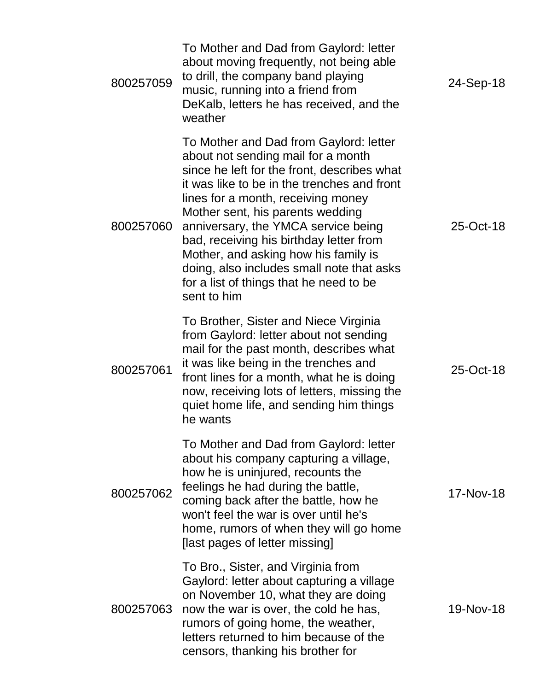| 800257059 | To Mother and Dad from Gaylord: letter<br>about moving frequently, not being able<br>to drill, the company band playing<br>music, running into a friend from<br>DeKalb, letters he has received, and the<br>weather                                                                                                                                                                                                                                                                   | 24-Sep-18 |
|-----------|---------------------------------------------------------------------------------------------------------------------------------------------------------------------------------------------------------------------------------------------------------------------------------------------------------------------------------------------------------------------------------------------------------------------------------------------------------------------------------------|-----------|
| 800257060 | To Mother and Dad from Gaylord: letter<br>about not sending mail for a month<br>since he left for the front, describes what<br>it was like to be in the trenches and front<br>lines for a month, receiving money<br>Mother sent, his parents wedding<br>anniversary, the YMCA service being<br>bad, receiving his birthday letter from<br>Mother, and asking how his family is<br>doing, also includes small note that asks<br>for a list of things that he need to be<br>sent to him | 25-Oct-18 |
| 800257061 | To Brother, Sister and Niece Virginia<br>from Gaylord: letter about not sending<br>mail for the past month, describes what<br>it was like being in the trenches and<br>front lines for a month, what he is doing<br>now, receiving lots of letters, missing the<br>quiet home life, and sending him things<br>he wants                                                                                                                                                                | 25-Oct-18 |
| 800257062 | To Mother and Dad from Gaylord: letter<br>about his company capturing a village,<br>how he is uninjured, recounts the<br>feelings he had during the battle,<br>coming back after the battle, how he<br>won't feel the war is over until he's<br>home, rumors of when they will go home<br>[last pages of letter missing]                                                                                                                                                              | 17-Nov-18 |
| 800257063 | To Bro., Sister, and Virginia from<br>Gaylord: letter about capturing a village<br>on November 10, what they are doing<br>now the war is over, the cold he has,<br>rumors of going home, the weather,<br>letters returned to him because of the<br>censors, thanking his brother for                                                                                                                                                                                                  | 19-Nov-18 |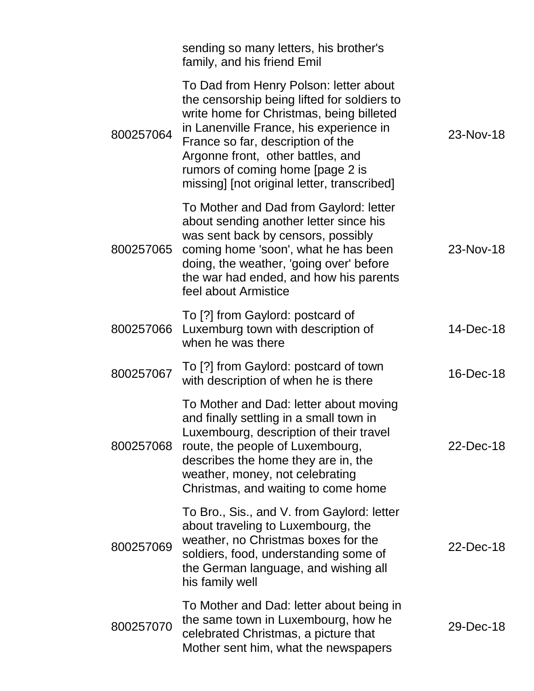|           | sending so many letters, his brother's<br>family, and his friend Emil                                                                                                                                                                                                                                                                     |           |
|-----------|-------------------------------------------------------------------------------------------------------------------------------------------------------------------------------------------------------------------------------------------------------------------------------------------------------------------------------------------|-----------|
| 800257064 | To Dad from Henry Polson: letter about<br>the censorship being lifted for soldiers to<br>write home for Christmas, being billeted<br>in Lanenville France, his experience in<br>France so far, description of the<br>Argonne front, other battles, and<br>rumors of coming home [page 2 is<br>missing] [not original letter, transcribed] | 23-Nov-18 |
| 800257065 | To Mother and Dad from Gaylord: letter<br>about sending another letter since his<br>was sent back by censors, possibly<br>coming home 'soon', what he has been<br>doing, the weather, 'going over' before<br>the war had ended, and how his parents<br>feel about Armistice                                                               | 23-Nov-18 |
| 800257066 | To [?] from Gaylord: postcard of<br>Luxemburg town with description of<br>when he was there                                                                                                                                                                                                                                               | 14-Dec-18 |
| 800257067 | To [?] from Gaylord: postcard of town<br>with description of when he is there                                                                                                                                                                                                                                                             | 16-Dec-18 |
| 800257068 | To Mother and Dad: letter about moving<br>and finally settling in a small town in<br>Luxembourg, description of their travel<br>route, the people of Luxembourg,<br>describes the home they are in, the<br>weather, money, not celebrating<br>Christmas, and waiting to come home                                                         | 22-Dec-18 |
| 800257069 | To Bro., Sis., and V. from Gaylord: letter<br>about traveling to Luxembourg, the<br>weather, no Christmas boxes for the<br>soldiers, food, understanding some of<br>the German language, and wishing all<br>his family well                                                                                                               | 22-Dec-18 |
| 800257070 | To Mother and Dad: letter about being in<br>the same town in Luxembourg, how he<br>celebrated Christmas, a picture that<br>Mother sent him, what the newspapers                                                                                                                                                                           | 29-Dec-18 |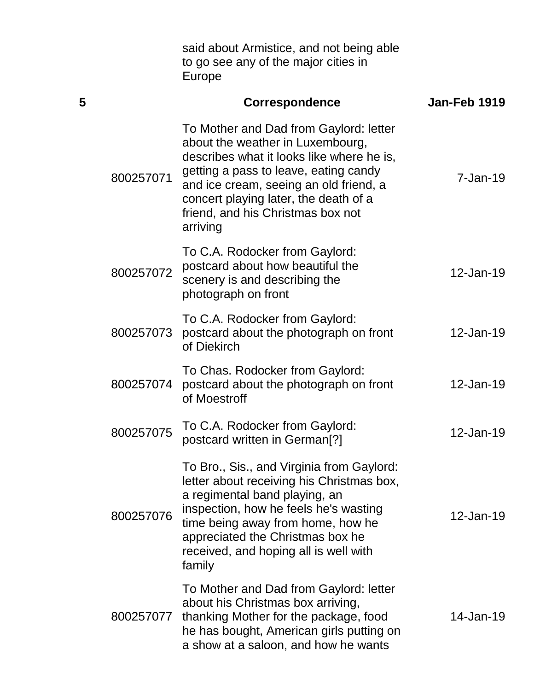said about Armistice, and not being able to go see any of the major cities in Europe

| 5 |           | <b>Correspondence</b>                                                                                                                                                                                                                                                                                | Jan-Feb 1919 |
|---|-----------|------------------------------------------------------------------------------------------------------------------------------------------------------------------------------------------------------------------------------------------------------------------------------------------------------|--------------|
|   | 800257071 | To Mother and Dad from Gaylord: letter<br>about the weather in Luxembourg,<br>describes what it looks like where he is,<br>getting a pass to leave, eating candy<br>and ice cream, seeing an old friend, a<br>concert playing later, the death of a<br>friend, and his Christmas box not<br>arriving | $7 - Jan-19$ |
|   | 800257072 | To C.A. Rodocker from Gaylord:<br>postcard about how beautiful the<br>scenery is and describing the<br>photograph on front                                                                                                                                                                           | 12-Jan-19    |
|   | 800257073 | To C.A. Rodocker from Gaylord:<br>postcard about the photograph on front<br>of Diekirch                                                                                                                                                                                                              | 12-Jan-19    |
|   | 800257074 | To Chas. Rodocker from Gaylord:<br>postcard about the photograph on front<br>of Moestroff                                                                                                                                                                                                            | 12-Jan-19    |
|   | 800257075 | To C.A. Rodocker from Gaylord:<br>postcard written in German <sup>[?]</sup>                                                                                                                                                                                                                          | 12-Jan-19    |
|   | 800257076 | To Bro., Sis., and Virginia from Gaylord:<br>letter about receiving his Christmas box,<br>a regimental band playing, an<br>inspection, how he feels he's wasting<br>time being away from home, how he<br>appreciated the Christmas box he<br>received, and hoping all is well with<br>family         | 12-Jan-19    |
|   | 800257077 | To Mother and Dad from Gaylord: letter<br>about his Christmas box arriving,<br>thanking Mother for the package, food<br>he has bought, American girls putting on<br>a show at a saloon, and how he wants                                                                                             | 14-Jan-19    |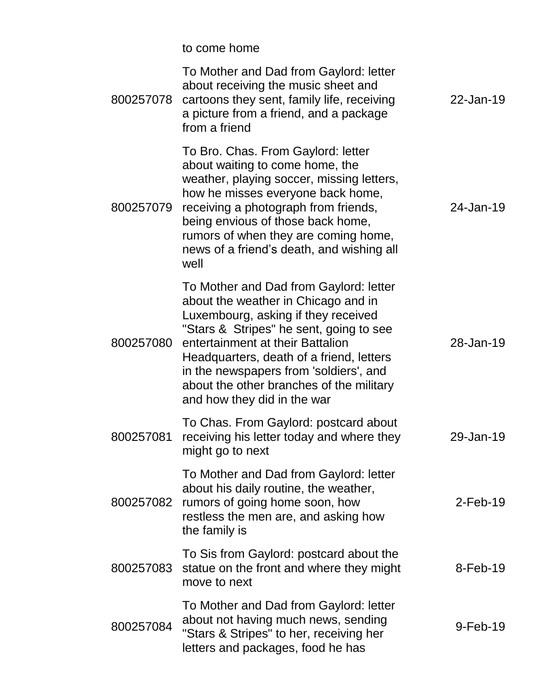|           | to come home                                                                                                                                                                                                                                                                                                                                                         |             |
|-----------|----------------------------------------------------------------------------------------------------------------------------------------------------------------------------------------------------------------------------------------------------------------------------------------------------------------------------------------------------------------------|-------------|
| 800257078 | To Mother and Dad from Gaylord: letter<br>about receiving the music sheet and<br>cartoons they sent, family life, receiving<br>a picture from a friend, and a package<br>from a friend                                                                                                                                                                               | 22-Jan-19   |
| 800257079 | To Bro. Chas. From Gaylord: letter<br>about waiting to come home, the<br>weather, playing soccer, missing letters,<br>how he misses everyone back home,<br>receiving a photograph from friends,<br>being envious of those back home,<br>rumors of when they are coming home,<br>news of a friend's death, and wishing all<br>well                                    | 24-Jan-19   |
| 800257080 | To Mother and Dad from Gaylord: letter<br>about the weather in Chicago and in<br>Luxembourg, asking if they received<br>"Stars & Stripes" he sent, going to see<br>entertainment at their Battalion<br>Headquarters, death of a friend, letters<br>in the newspapers from 'soldiers', and<br>about the other branches of the military<br>and how they did in the war | 28-Jan-19   |
| 800257081 | To Chas. From Gaylord: postcard about<br>receiving his letter today and where they<br>might go to next                                                                                                                                                                                                                                                               | 29-Jan-19   |
| 800257082 | To Mother and Dad from Gaylord: letter<br>about his daily routine, the weather,<br>rumors of going home soon, how<br>restless the men are, and asking how<br>the family is                                                                                                                                                                                           | $2$ -Feb-19 |
| 800257083 | To Sis from Gaylord: postcard about the<br>statue on the front and where they might<br>move to next                                                                                                                                                                                                                                                                  | $8$ -Feb-19 |
| 800257084 | To Mother and Dad from Gaylord: letter<br>about not having much news, sending<br>"Stars & Stripes" to her, receiving her<br>letters and packages, food he has                                                                                                                                                                                                        | $9$ -Feb-19 |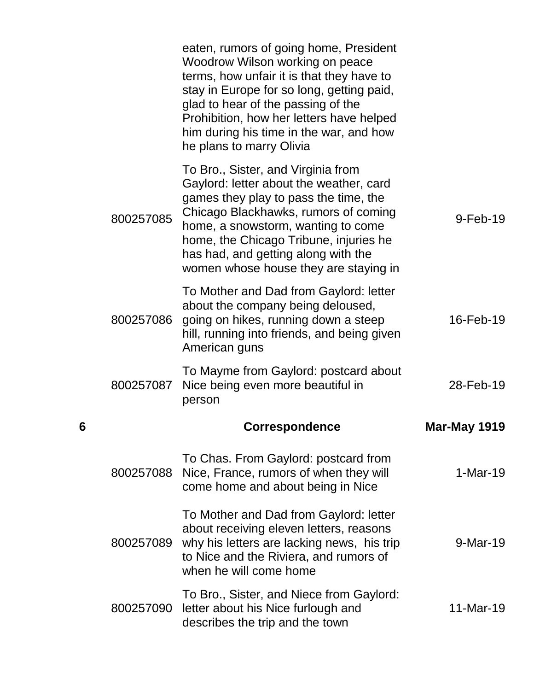|   |           | eaten, rumors of going home, President<br>Woodrow Wilson working on peace<br>terms, how unfair it is that they have to<br>stay in Europe for so long, getting paid,<br>glad to hear of the passing of the<br>Prohibition, how her letters have helped<br>him during his time in the war, and how<br>he plans to marry Olivia   |                     |
|---|-----------|--------------------------------------------------------------------------------------------------------------------------------------------------------------------------------------------------------------------------------------------------------------------------------------------------------------------------------|---------------------|
|   | 800257085 | To Bro., Sister, and Virginia from<br>Gaylord: letter about the weather, card<br>games they play to pass the time, the<br>Chicago Blackhawks, rumors of coming<br>home, a snowstorm, wanting to come<br>home, the Chicago Tribune, injuries he<br>has had, and getting along with the<br>women whose house they are staying in | $9-Feb-19$          |
|   | 800257086 | To Mother and Dad from Gaylord: letter<br>about the company being deloused,<br>going on hikes, running down a steep<br>hill, running into friends, and being given<br>American guns                                                                                                                                            | 16-Feb-19           |
|   | 800257087 | To Mayme from Gaylord: postcard about<br>Nice being even more beautiful in<br>person                                                                                                                                                                                                                                           | 28-Feb-19           |
| 6 |           | <b>Correspondence</b>                                                                                                                                                                                                                                                                                                          | <b>Mar-May 1919</b> |
|   | 800257088 | To Chas. From Gaylord: postcard from<br>Nice, France, rumors of when they will<br>come home and about being in Nice                                                                                                                                                                                                            | $1-Mar-19$          |
|   | 800257089 | To Mother and Dad from Gaylord: letter<br>about receiving eleven letters, reasons<br>why his letters are lacking news, his trip<br>to Nice and the Riviera, and rumors of<br>when he will come home                                                                                                                            | 9-Mar-19            |
|   | 800257090 | To Bro., Sister, and Niece from Gaylord:<br>letter about his Nice furlough and<br>describes the trip and the town                                                                                                                                                                                                              | 11-Mar-19           |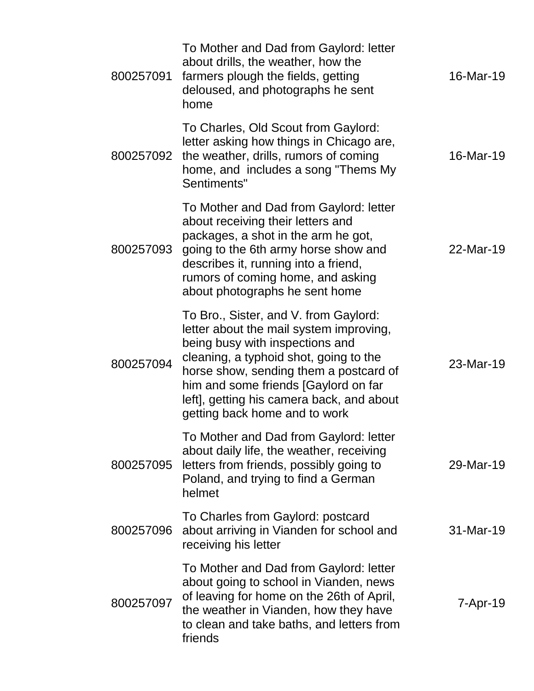| 800257091 | To Mother and Dad from Gaylord: letter<br>about drills, the weather, how the<br>farmers plough the fields, getting<br>deloused, and photographs he sent<br>home                                                                                                                                                               | 16-Mar-19 |
|-----------|-------------------------------------------------------------------------------------------------------------------------------------------------------------------------------------------------------------------------------------------------------------------------------------------------------------------------------|-----------|
| 800257092 | To Charles, Old Scout from Gaylord:<br>letter asking how things in Chicago are,<br>the weather, drills, rumors of coming<br>home, and includes a song "Thems My<br>Sentiments"                                                                                                                                                | 16-Mar-19 |
| 800257093 | To Mother and Dad from Gaylord: letter<br>about receiving their letters and<br>packages, a shot in the arm he got,<br>going to the 6th army horse show and<br>describes it, running into a friend,<br>rumors of coming home, and asking<br>about photographs he sent home                                                     | 22-Mar-19 |
| 800257094 | To Bro., Sister, and V. from Gaylord:<br>letter about the mail system improving,<br>being busy with inspections and<br>cleaning, a typhoid shot, going to the<br>horse show, sending them a postcard of<br>him and some friends [Gaylord on far<br>left], getting his camera back, and about<br>getting back home and to work | 23-Mar-19 |
| 800257095 | To Mother and Dad from Gaylord: letter<br>about daily life, the weather, receiving<br>letters from friends, possibly going to<br>Poland, and trying to find a German<br>helmet                                                                                                                                                | 29-Mar-19 |
| 800257096 | To Charles from Gaylord: postcard<br>about arriving in Vianden for school and<br>receiving his letter                                                                                                                                                                                                                         | 31-Mar-19 |
| 800257097 | To Mother and Dad from Gaylord: letter<br>about going to school in Vianden, news<br>of leaving for home on the 26th of April,<br>the weather in Vianden, how they have<br>to clean and take baths, and letters from<br>friends                                                                                                | 7-Apr-19  |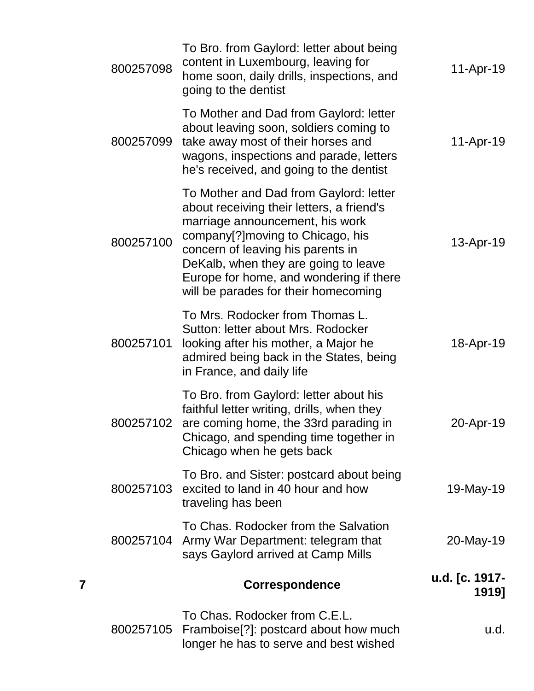| 800257105 | To Chas. Rodocker from C.E.L.<br>Framboise[?]: postcard about how much<br>longer he has to serve and best wished                                                                                                                                                                                                            | u.d.                    |
|-----------|-----------------------------------------------------------------------------------------------------------------------------------------------------------------------------------------------------------------------------------------------------------------------------------------------------------------------------|-------------------------|
|           | <b>Correspondence</b>                                                                                                                                                                                                                                                                                                       | u.d. [c. 1917-<br>1919] |
| 800257104 | To Chas. Rodocker from the Salvation<br>Army War Department: telegram that<br>says Gaylord arrived at Camp Mills                                                                                                                                                                                                            | 20-May-19               |
| 800257103 | To Bro. and Sister: postcard about being<br>excited to land in 40 hour and how<br>traveling has been                                                                                                                                                                                                                        | 19-May-19               |
| 800257102 | To Bro. from Gaylord: letter about his<br>faithful letter writing, drills, when they<br>are coming home, the 33rd parading in<br>Chicago, and spending time together in<br>Chicago when he gets back                                                                                                                        | 20-Apr-19               |
| 800257101 | To Mrs. Rodocker from Thomas L.<br>Sutton: letter about Mrs. Rodocker<br>looking after his mother, a Major he<br>admired being back in the States, being<br>in France, and daily life                                                                                                                                       | 18-Apr-19               |
| 800257100 | To Mother and Dad from Gaylord: letter<br>about receiving their letters, a friend's<br>marriage announcement, his work<br>company[?] moving to Chicago, his<br>concern of leaving his parents in<br>DeKalb, when they are going to leave<br>Europe for home, and wondering if there<br>will be parades for their homecoming | 13-Apr-19               |
| 800257099 | To Mother and Dad from Gaylord: letter<br>about leaving soon, soldiers coming to<br>take away most of their horses and<br>wagons, inspections and parade, letters<br>he's received, and going to the dentist                                                                                                                | 11-Apr-19               |
| 800257098 | To Bro. from Gaylord: letter about being<br>content in Luxembourg, leaving for<br>home soon, daily drills, inspections, and<br>going to the dentist                                                                                                                                                                         | 11-Apr-19               |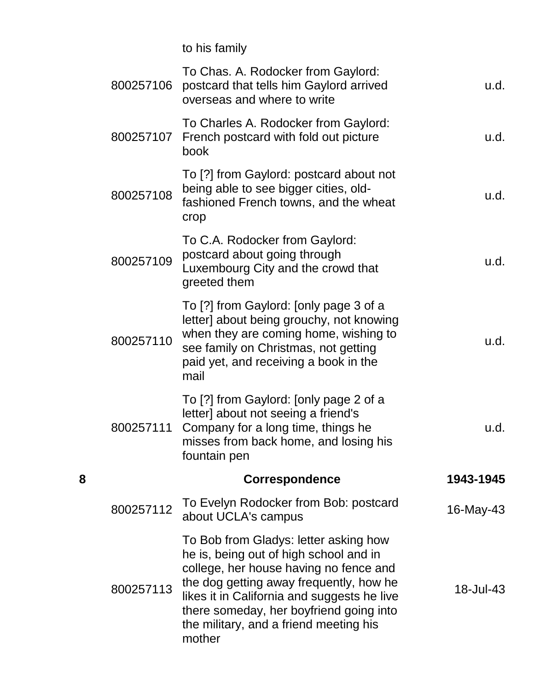to his family

|   | 800257106 | To Chas. A. Rodocker from Gaylord:<br>postcard that tells him Gaylord arrived<br>overseas and where to write                                                                                                                                                                                                       | u.d.      |
|---|-----------|--------------------------------------------------------------------------------------------------------------------------------------------------------------------------------------------------------------------------------------------------------------------------------------------------------------------|-----------|
|   | 800257107 | To Charles A. Rodocker from Gaylord:<br>French postcard with fold out picture<br>book                                                                                                                                                                                                                              | u.d.      |
|   | 800257108 | To [?] from Gaylord: postcard about not<br>being able to see bigger cities, old-<br>fashioned French towns, and the wheat<br>crop                                                                                                                                                                                  | u.d.      |
|   | 800257109 | To C.A. Rodocker from Gaylord:<br>postcard about going through<br>Luxembourg City and the crowd that<br>greeted them                                                                                                                                                                                               | u.d.      |
|   | 800257110 | To [?] from Gaylord: [only page 3 of a<br>letter] about being grouchy, not knowing<br>when they are coming home, wishing to<br>see family on Christmas, not getting<br>paid yet, and receiving a book in the<br>mail                                                                                               | u.d.      |
|   | 800257111 | To [?] from Gaylord: [only page 2 of a<br>letter] about not seeing a friend's<br>Company for a long time, things he<br>misses from back home, and losing his<br>fountain pen                                                                                                                                       | u.d.      |
| 8 |           | <b>Correspondence</b>                                                                                                                                                                                                                                                                                              | 1943-1945 |
|   | 800257112 | To Evelyn Rodocker from Bob: postcard<br>about UCLA's campus                                                                                                                                                                                                                                                       | 16-May-43 |
|   | 800257113 | To Bob from Gladys: letter asking how<br>he is, being out of high school and in<br>college, her house having no fence and<br>the dog getting away frequently, how he<br>likes it in California and suggests he live<br>there someday, her boyfriend going into<br>the military, and a friend meeting his<br>mother | 18-Jul-43 |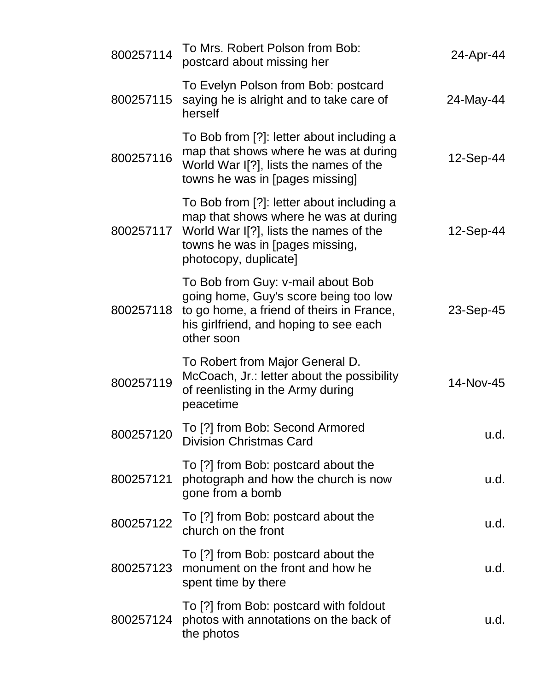| 800257114 | To Mrs. Robert Polson from Bob:<br>postcard about missing her                                                                                                                            | 24-Apr-44 |
|-----------|------------------------------------------------------------------------------------------------------------------------------------------------------------------------------------------|-----------|
| 800257115 | To Evelyn Polson from Bob: postcard<br>saying he is alright and to take care of<br>herself                                                                                               | 24-May-44 |
| 800257116 | To Bob from [?]: letter about including a<br>map that shows where he was at during<br>World War I[?], lists the names of the<br>towns he was in [pages missing]                          | 12-Sep-44 |
| 800257117 | To Bob from [?]: letter about including a<br>map that shows where he was at during<br>World War I[?], lists the names of the<br>towns he was in [pages missing,<br>photocopy, duplicate] | 12-Sep-44 |
| 800257118 | To Bob from Guy: v-mail about Bob<br>going home, Guy's score being too low<br>to go home, a friend of theirs in France,<br>his girlfriend, and hoping to see each<br>other soon          | 23-Sep-45 |
| 800257119 | To Robert from Major General D.<br>McCoach, Jr.: letter about the possibility<br>of reenlisting in the Army during<br>peacetime                                                          | 14-Nov-45 |
| 800257120 | To [?] from Bob: Second Armored<br><b>Division Christmas Card</b>                                                                                                                        | u.d.      |
| 800257121 | To [?] from Bob: postcard about the<br>photograph and how the church is now<br>gone from a bomb                                                                                          | u.d.      |
| 800257122 | To [?] from Bob: postcard about the<br>church on the front                                                                                                                               | u.d.      |
| 800257123 | To [?] from Bob: postcard about the<br>monument on the front and how he<br>spent time by there                                                                                           | u.d.      |
| 800257124 | To [?] from Bob: postcard with foldout<br>photos with annotations on the back of<br>the photos                                                                                           | u.d.      |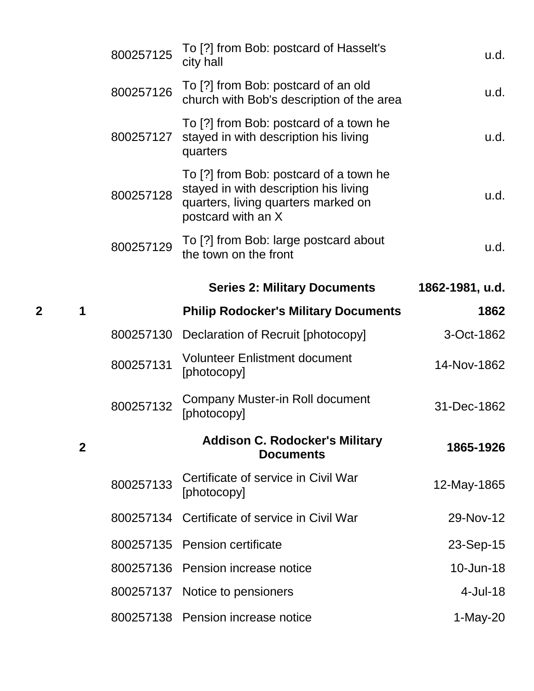|   |              | 800257125 | To [?] from Bob: postcard of Hasselt's<br>city hall                                                                                          | u.d.            |
|---|--------------|-----------|----------------------------------------------------------------------------------------------------------------------------------------------|-----------------|
|   |              | 800257126 | To [?] from Bob: postcard of an old<br>church with Bob's description of the area                                                             | u.d.            |
|   |              | 800257127 | To [?] from Bob: postcard of a town he<br>stayed in with description his living<br>quarters                                                  | u.d.            |
|   |              | 800257128 | To [?] from Bob: postcard of a town he<br>stayed in with description his living<br>quarters, living quarters marked on<br>postcard with an X | u.d.            |
|   |              | 800257129 | To [?] from Bob: large postcard about<br>the town on the front                                                                               | u.d.            |
|   |              |           | <b>Series 2: Military Documents</b>                                                                                                          | 1862-1981, u.d. |
| 2 | 1            |           | <b>Philip Rodocker's Military Documents</b>                                                                                                  | 1862            |
|   |              | 800257130 | Declaration of Recruit [photocopy]                                                                                                           | 3-Oct-1862      |
|   |              | 800257131 | <b>Volunteer Enlistment document</b><br>[photocopy]                                                                                          | 14-Nov-1862     |
|   |              | 800257132 | Company Muster-in Roll document<br>[photocopy]                                                                                               | 31-Dec-1862     |
|   | $\mathbf{2}$ |           | <b>Addison C. Rodocker's Military</b><br><b>Documents</b>                                                                                    | 1865-1926       |
|   |              | 800257133 | Certificate of service in Civil War<br>[photocopy]                                                                                           | 12-May-1865     |
|   |              |           | 800257134 Certificate of service in Civil War                                                                                                | 29-Nov-12       |
|   |              | 800257135 | <b>Pension certificate</b>                                                                                                                   | 23-Sep-15       |
|   |              |           | 800257136 Pension increase notice                                                                                                            | 10-Jun-18       |
|   |              | 800257137 | Notice to pensioners                                                                                                                         | 4-Jul-18        |
|   |              |           | 800257138 Pension increase notice                                                                                                            | $1-May-20$      |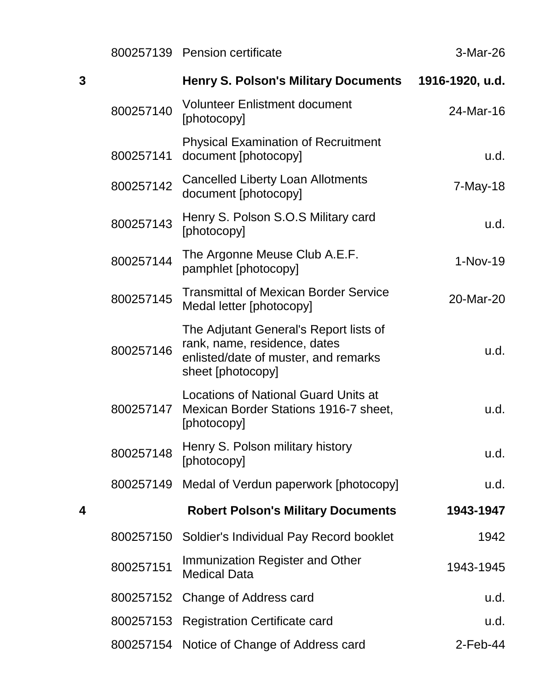|   |           | 800257139 Pension certificate                                                                                                       | 3-Mar-26        |
|---|-----------|-------------------------------------------------------------------------------------------------------------------------------------|-----------------|
| 3 |           | <b>Henry S. Polson's Military Documents</b>                                                                                         | 1916-1920, u.d. |
|   | 800257140 | <b>Volunteer Enlistment document</b><br>[photocopy]                                                                                 | 24-Mar-16       |
|   | 800257141 | <b>Physical Examination of Recruitment</b><br>document [photocopy]                                                                  | u.d.            |
|   | 800257142 | <b>Cancelled Liberty Loan Allotments</b><br>document [photocopy]                                                                    | $7$ -May-18     |
|   | 800257143 | Henry S. Polson S.O.S Military card<br>[photocopy]                                                                                  | u.d.            |
|   | 800257144 | The Argonne Meuse Club A.E.F.<br>pamphlet [photocopy]                                                                               | $1-Nov-19$      |
|   | 800257145 | <b>Transmittal of Mexican Border Service</b><br>Medal letter [photocopy]                                                            | 20-Mar-20       |
|   | 800257146 | The Adjutant General's Report lists of<br>rank, name, residence, dates<br>enlisted/date of muster, and remarks<br>sheet [photocopy] | u.d.            |
|   | 800257147 | <b>Locations of National Guard Units at</b><br>Mexican Border Stations 1916-7 sheet,<br>[photocopy]                                 | u.d.            |
|   | 800257148 | Henry S. Polson military history<br>[photocopy]                                                                                     | u.d.            |
|   | 800257149 | Medal of Verdun paperwork [photocopy]                                                                                               | u.d.            |
| 4 |           | <b>Robert Polson's Military Documents</b>                                                                                           | 1943-1947       |
|   | 800257150 | Soldier's Individual Pay Record booklet                                                                                             | 1942            |
|   | 800257151 | Immunization Register and Other<br><b>Medical Data</b>                                                                              | 1943-1945       |
|   |           | 800257152 Change of Address card                                                                                                    | u.d.            |
|   |           | 800257153 Registration Certificate card                                                                                             | u.d.            |
|   |           | 800257154 Notice of Change of Address card                                                                                          | $2$ -Feb-44     |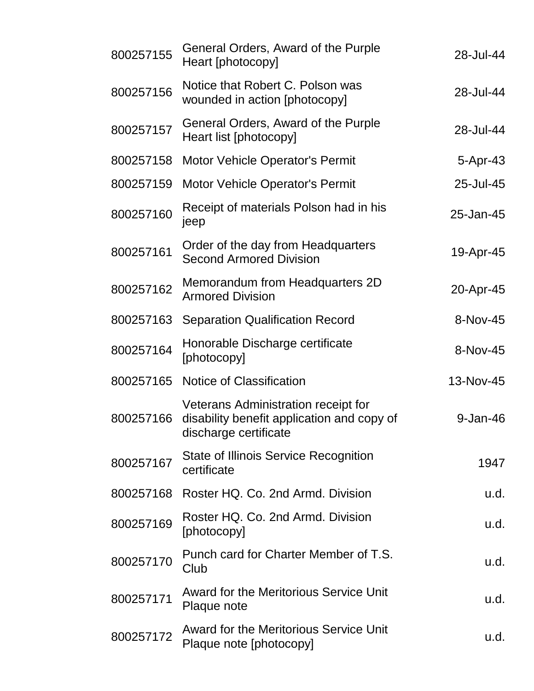| 800257155 | General Orders, Award of the Purple<br>Heart [photocopy]                                                   | 28-Jul-44  |
|-----------|------------------------------------------------------------------------------------------------------------|------------|
| 800257156 | Notice that Robert C. Polson was<br>wounded in action [photocopy]                                          | 28-Jul-44  |
| 800257157 | General Orders, Award of the Purple<br>Heart list [photocopy]                                              | 28-Jul-44  |
| 800257158 | <b>Motor Vehicle Operator's Permit</b>                                                                     | $5-Apr-43$ |
| 800257159 | <b>Motor Vehicle Operator's Permit</b>                                                                     | 25-Jul-45  |
| 800257160 | Receipt of materials Polson had in his<br>jeep                                                             | 25-Jan-45  |
| 800257161 | Order of the day from Headquarters<br><b>Second Armored Division</b>                                       | 19-Apr-45  |
| 800257162 | Memorandum from Headquarters 2D<br><b>Armored Division</b>                                                 | 20-Apr-45  |
| 800257163 | <b>Separation Qualification Record</b>                                                                     | 8-Nov-45   |
| 800257164 | Honorable Discharge certificate<br>[photocopy]                                                             | 8-Nov-45   |
| 800257165 | Notice of Classification                                                                                   | 13-Nov-45  |
| 800257166 | Veterans Administration receipt for<br>disability benefit application and copy of<br>discharge certificate | 9-Jan-46   |
| 800257167 | <b>State of Illinois Service Recognition</b><br>certificate                                                | 1947       |
| 800257168 | Roster HQ. Co. 2nd Armd. Division                                                                          | u.d.       |
| 800257169 | Roster HQ. Co. 2nd Armd. Division<br>[photocopy]                                                           | u.d.       |
| 800257170 | Punch card for Charter Member of T.S.<br>Club                                                              | u.d.       |
| 800257171 | <b>Award for the Meritorious Service Unit</b><br>Plaque note                                               | u.d.       |
| 800257172 | <b>Award for the Meritorious Service Unit</b><br>Plaque note [photocopy]                                   | u.d.       |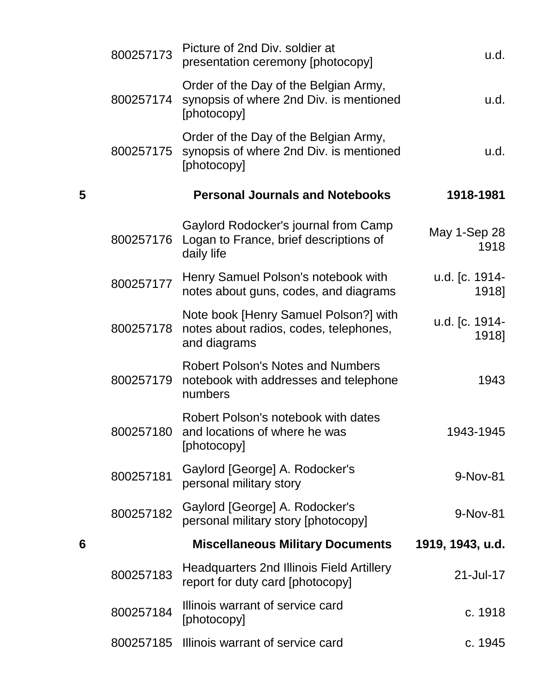|   | 800257173 | Picture of 2nd Div. soldier at<br>presentation ceremony [photocopy]                             | u.d.                    |
|---|-----------|-------------------------------------------------------------------------------------------------|-------------------------|
|   | 800257174 | Order of the Day of the Belgian Army,<br>synopsis of where 2nd Div. is mentioned<br>[photocopy] | u.d.                    |
|   | 800257175 | Order of the Day of the Belgian Army,<br>synopsis of where 2nd Div. is mentioned<br>[photocopy] | u.d.                    |
| 5 |           | <b>Personal Journals and Notebooks</b>                                                          | 1918-1981               |
|   | 800257176 | Gaylord Rodocker's journal from Camp<br>Logan to France, brief descriptions of<br>daily life    | May 1-Sep 28<br>1918    |
|   | 800257177 | Henry Samuel Polson's notebook with<br>notes about guns, codes, and diagrams                    | u.d. [c. 1914-<br>1918] |
|   | 800257178 | Note book [Henry Samuel Polson?] with<br>notes about radios, codes, telephones,<br>and diagrams | u.d. [c. 1914-<br>1918] |
|   | 800257179 | <b>Robert Polson's Notes and Numbers</b><br>notebook with addresses and telephone<br>numbers    | 1943                    |
|   | 800257180 | Robert Polson's notebook with dates<br>and locations of where he was<br>[photocopy]             | 1943-1945               |
|   | 800257181 | Gaylord [George] A. Rodocker's<br>personal military story                                       | 9-Nov-81                |
|   | 800257182 | Gaylord [George] A. Rodocker's<br>personal military story [photocopy]                           | 9-Nov-81                |
| 6 |           | <b>Miscellaneous Military Documents</b>                                                         | 1919, 1943, u.d.        |
|   | 800257183 | <b>Headquarters 2nd Illinois Field Artillery</b><br>report for duty card [photocopy]            | 21-Jul-17               |
|   | 800257184 | Illinois warrant of service card<br>[photocopy]                                                 | c. 1918                 |
|   | 800257185 | Illinois warrant of service card                                                                | c. 1945                 |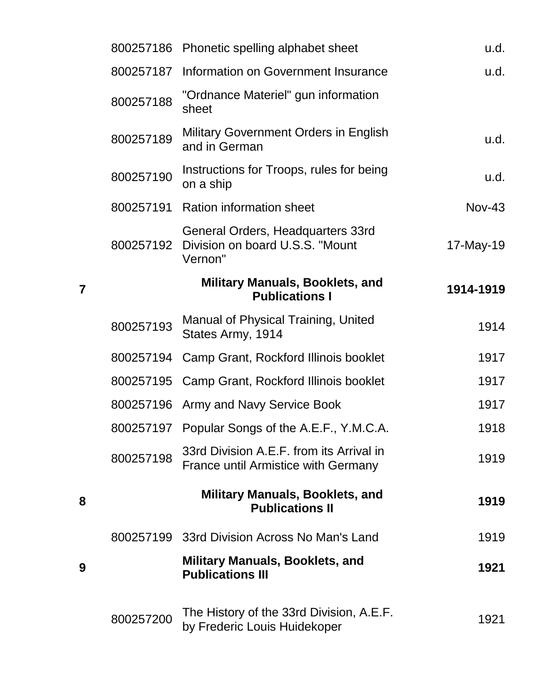|           | 800257186 Phonetic spelling alphabet sheet                                             | u.d.          |
|-----------|----------------------------------------------------------------------------------------|---------------|
| 800257187 | Information on Government Insurance                                                    | u.d.          |
| 800257188 | "Ordnance Materiel" gun information<br>sheet                                           |               |
| 800257189 | <b>Military Government Orders in English</b><br>and in German                          | u.d.          |
| 800257190 | Instructions for Troops, rules for being<br>on a ship                                  | u.d.          |
| 800257191 | <b>Ration information sheet</b>                                                        | <b>Nov-43</b> |
| 800257192 | General Orders, Headquarters 33rd<br>Division on board U.S.S. "Mount<br>Vernon"        | 17-May-19     |
|           | <b>Military Manuals, Booklets, and</b><br><b>Publications I</b>                        | 1914-1919     |
| 800257193 | Manual of Physical Training, United<br>States Army, 1914                               | 1914          |
|           | 800257194 Camp Grant, Rockford Illinois booklet                                        | 1917          |
|           | 800257195 Camp Grant, Rockford Illinois booklet                                        | 1917          |
| 800257196 | Army and Navy Service Book                                                             | 1917          |
| 800257197 | Popular Songs of the A.E.F., Y.M.C.A.                                                  | 1918          |
| 800257198 | 33rd Division A.E.F. from its Arrival in<br><b>France until Armistice with Germany</b> | 1919          |
|           | <b>Military Manuals, Booklets, and</b><br><b>Publications II</b>                       | 1919          |
|           | 800257199 33rd Division Across No Man's Land                                           | 1919          |
|           | <b>Military Manuals, Booklets, and</b><br><b>Publications III</b>                      | 1921          |
| 800257200 | The History of the 33rd Division, A.E.F.<br>by Frederic Louis Huidekoper               | 1921          |

**7**

**8**

**9**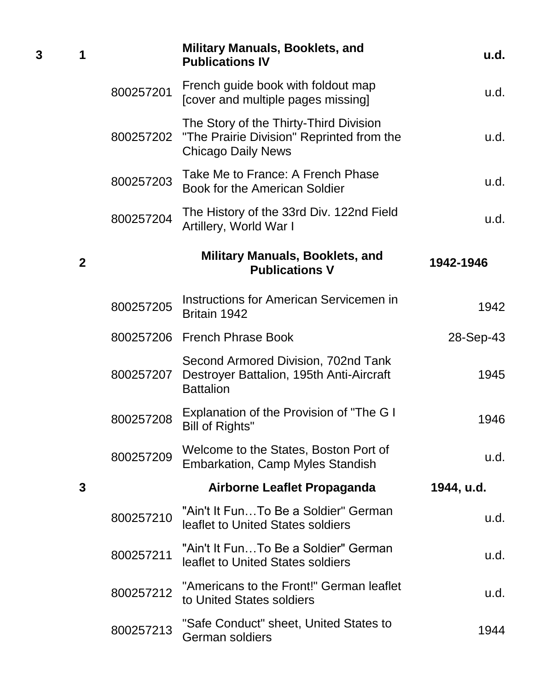| 1              |           | <b>Military Manuals, Booklets, and</b><br><b>Publications IV</b>                                                 | u.d.       |
|----------------|-----------|------------------------------------------------------------------------------------------------------------------|------------|
|                | 800257201 | French guide book with foldout map<br>[cover and multiple pages missing]                                         | u.d.       |
|                | 800257202 | The Story of the Thirty-Third Division<br>"The Prairie Division" Reprinted from the<br><b>Chicago Daily News</b> | u.d.       |
|                | 800257203 | Take Me to France: A French Phase<br>Book for the American Soldier                                               | u.d.       |
|                | 800257204 | The History of the 33rd Div. 122nd Field<br>Artillery, World War I                                               | u.d.       |
| $\overline{2}$ |           | <b>Military Manuals, Booklets, and</b><br><b>Publications V</b>                                                  | 1942-1946  |
|                | 800257205 | Instructions for American Servicemen in<br>Britain 1942                                                          | 1942       |
|                |           | 800257206 French Phrase Book                                                                                     | 28-Sep-43  |
|                | 800257207 | Second Armored Division, 702nd Tank<br>Destroyer Battalion, 195th Anti-Aircraft<br><b>Battalion</b>              | 1945       |
|                | 800257208 | Explanation of the Provision of "The G I<br>Bill of Rights"                                                      | 1946       |
|                | 800257209 | Welcome to the States, Boston Port of<br><b>Embarkation, Camp Myles Standish</b>                                 | u.d.       |
| $\mathbf{3}$   |           | Airborne Leaflet Propaganda                                                                                      | 1944, u.d. |
|                | 800257210 | "Ain't It FunTo Be a Soldier" German<br>leaflet to United States soldiers                                        | u.d.       |
|                | 800257211 | "Ain't It Fun…To Be a Soldier" German<br>leaflet to United States soldiers                                       | u.d.       |
|                | 800257212 | "Americans to the Front!" German leaflet<br>to United States soldiers                                            | u.d.       |
|                | 800257213 | "Safe Conduct" sheet, United States to<br>German soldiers                                                        | 1944       |

**3 1**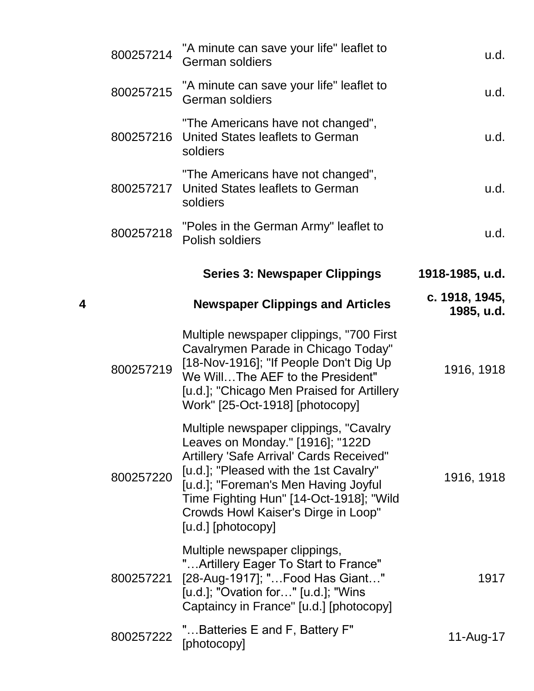|   | 800257214 | "A minute can save your life" leaflet to<br><b>German soldiers</b>                                                                                                                                                                                                                                               | u.d.                         |
|---|-----------|------------------------------------------------------------------------------------------------------------------------------------------------------------------------------------------------------------------------------------------------------------------------------------------------------------------|------------------------------|
|   | 800257215 | "A minute can save your life" leaflet to<br><b>German soldiers</b>                                                                                                                                                                                                                                               | u.d.                         |
|   | 800257216 | "The Americans have not changed",<br>United States leaflets to German<br>soldiers                                                                                                                                                                                                                                | u.d.                         |
|   | 800257217 | "The Americans have not changed",<br>United States leaflets to German<br>soldiers                                                                                                                                                                                                                                | u.d.                         |
|   | 800257218 | "Poles in the German Army" leaflet to<br>Polish soldiers                                                                                                                                                                                                                                                         | u.d.                         |
|   |           | <b>Series 3: Newspaper Clippings</b>                                                                                                                                                                                                                                                                             | 1918-1985, u.d.              |
| 4 |           | <b>Newspaper Clippings and Articles</b>                                                                                                                                                                                                                                                                          | c. 1918, 1945,<br>1985, u.d. |
|   | 800257219 | Multiple newspaper clippings, "700 First<br>Cavalrymen Parade in Chicago Today"<br>[18-Nov-1916]; "If People Don't Dig Up<br>We WillThe AEF to the President"<br>[u.d.]; "Chicago Men Praised for Artillery<br>Work" [25-Oct-1918] [photocopy]                                                                   | 1916, 1918                   |
|   | 800257220 | Multiple newspaper clippings, "Cavalry<br>Leaves on Monday." [1916]; "122D<br>Artillery 'Safe Arrival' Cards Received"<br>[u.d.]; "Pleased with the 1st Cavalry"<br>[u.d.]; "Foreman's Men Having Joyful<br>Time Fighting Hun" [14-Oct-1918]; "Wild<br>Crowds Howl Kaiser's Dirge in Loop"<br>[u.d.] [photocopy] | 1916, 1918                   |
|   | 800257221 | Multiple newspaper clippings,<br>"Artillery Eager To Start to France"<br>[28-Aug-1917]; "Food Has Giant"<br>[u.d.]; "Ovation for" [u.d.]; "Wins<br>Captaincy in France" [u.d.] [photocopy]                                                                                                                       | 1917                         |
|   | 800257222 | "Batteries E and F, Battery F"<br>[photocopy]                                                                                                                                                                                                                                                                    | 11-Aug-17                    |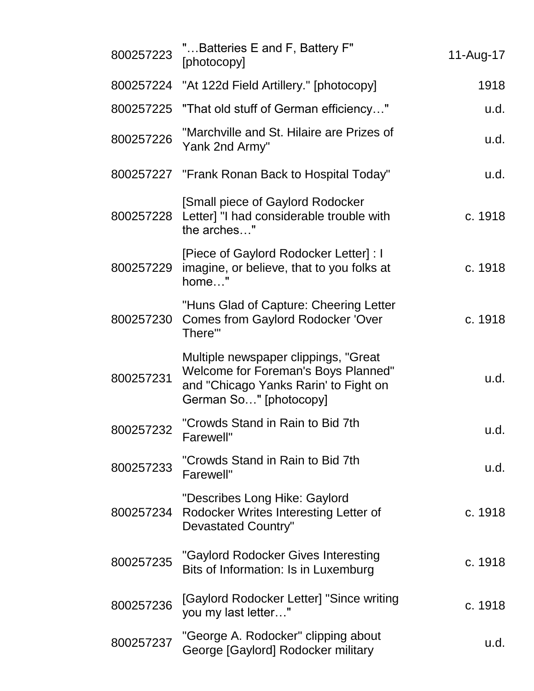| 800257223 | "Batteries E and F, Battery F"<br>[photocopy]                                                                                                   | 11-Aug-17 |
|-----------|-------------------------------------------------------------------------------------------------------------------------------------------------|-----------|
|           | 800257224 "At 122d Field Artillery." [photocopy]                                                                                                | 1918      |
|           | 800257225 "That old stuff of German efficiency"                                                                                                 | u.d.      |
| 800257226 | "Marchville and St. Hilaire are Prizes of<br>Yank 2nd Army"                                                                                     | u.d.      |
|           | 800257227 "Frank Ronan Back to Hospital Today"                                                                                                  | u.d.      |
| 800257228 | [Small piece of Gaylord Rodocker<br>Letter] "I had considerable trouble with<br>the arches"                                                     | c. 1918   |
| 800257229 | [Piece of Gaylord Rodocker Letter] : I<br>imagine, or believe, that to you folks at<br>home"                                                    | c. 1918   |
| 800257230 | "Huns Glad of Capture: Cheering Letter<br><b>Comes from Gaylord Rodocker 'Over</b><br>There'"                                                   | c. 1918   |
| 800257231 | Multiple newspaper clippings, "Great"<br>Welcome for Foreman's Boys Planned"<br>and "Chicago Yanks Rarin' to Fight on<br>German So" [photocopy] | u.d.      |
| 800257232 | "Crowds Stand in Rain to Bid 7th<br>Farewell"                                                                                                   | u.d.      |
| 800257233 | "Crowds Stand in Rain to Bid 7th<br>Farewell"                                                                                                   | u.d.      |
| 800257234 | "Describes Long Hike: Gaylord<br>Rodocker Writes Interesting Letter of<br><b>Devastated Country"</b>                                            | c. 1918   |
| 800257235 | "Gaylord Rodocker Gives Interesting<br>Bits of Information: Is in Luxemburg                                                                     | c. 1918   |
| 800257236 | [Gaylord Rodocker Letter] "Since writing<br>you my last letter"                                                                                 | c. 1918   |
| 800257237 | "George A. Rodocker" clipping about<br>George [Gaylord] Rodocker military                                                                       | u.d.      |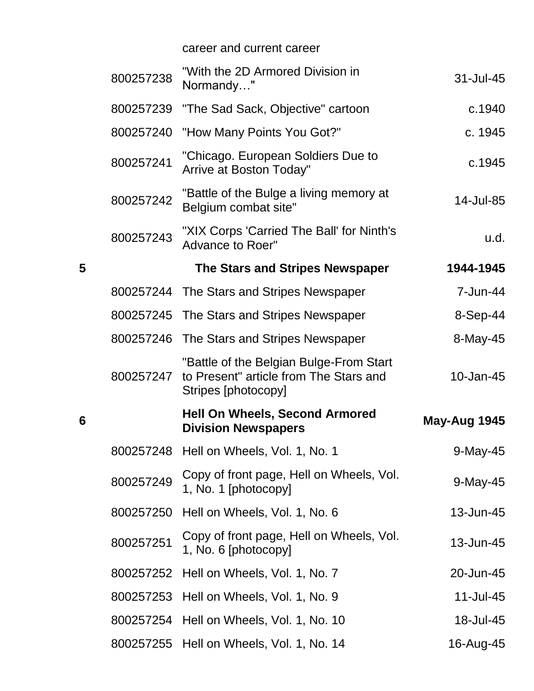career and current career

|   | 800257238 | "With the 2D Armored Division in<br>Normandy"                                                            | 31-Jul-45    |
|---|-----------|----------------------------------------------------------------------------------------------------------|--------------|
|   | 800257239 | "The Sad Sack, Objective" cartoon                                                                        | c.1940       |
|   | 800257240 | "How Many Points You Got?"                                                                               | c. 1945      |
|   | 800257241 | "Chicago. European Soldiers Due to<br>Arrive at Boston Today"                                            | c.1945       |
|   | 800257242 | "Battle of the Bulge a living memory at<br>Belgium combat site"                                          | 14-Jul-85    |
|   | 800257243 | "XIX Corps 'Carried The Ball' for Ninth's<br>Advance to Roer"                                            | u.d.         |
| 5 |           | The Stars and Stripes Newspaper                                                                          | 1944-1945    |
|   |           | 800257244 The Stars and Stripes Newspaper                                                                | 7-Jun-44     |
|   | 800257245 | The Stars and Stripes Newspaper                                                                          | 8-Sep-44     |
|   |           | 800257246 The Stars and Stripes Newspaper                                                                | 8-May-45     |
|   | 800257247 | "Battle of the Belgian Bulge-From Start<br>to Present" article from The Stars and<br>Stripes [photocopy] | 10-Jan-45    |
| 6 |           | <b>Hell On Wheels, Second Armored</b><br><b>Division Newspapers</b>                                      | May-Aug 1945 |
|   | 800257248 | Hell on Wheels, Vol. 1, No. 1                                                                            | 9-May-45     |
|   | 800257249 | Copy of front page, Hell on Wheels, Vol.<br>1, No. 1 [photocopy]                                         | 9-May-45     |
|   | 800257250 | Hell on Wheels, Vol. 1, No. 6                                                                            | 13-Jun-45    |
|   | 800257251 | Copy of front page, Hell on Wheels, Vol.<br>1, No. 6 [photocopy]                                         | 13-Jun-45    |
|   | 800257252 | Hell on Wheels, Vol. 1, No. 7                                                                            | 20-Jun-45    |
|   |           | 800257253 Hell on Wheels, Vol. 1, No. 9                                                                  | 11-Jul-45    |
|   |           | 800257254 Hell on Wheels, Vol. 1, No. 10                                                                 | 18-Jul-45    |
|   |           | 800257255 Hell on Wheels, Vol. 1, No. 14                                                                 | 16-Aug-45    |

**6**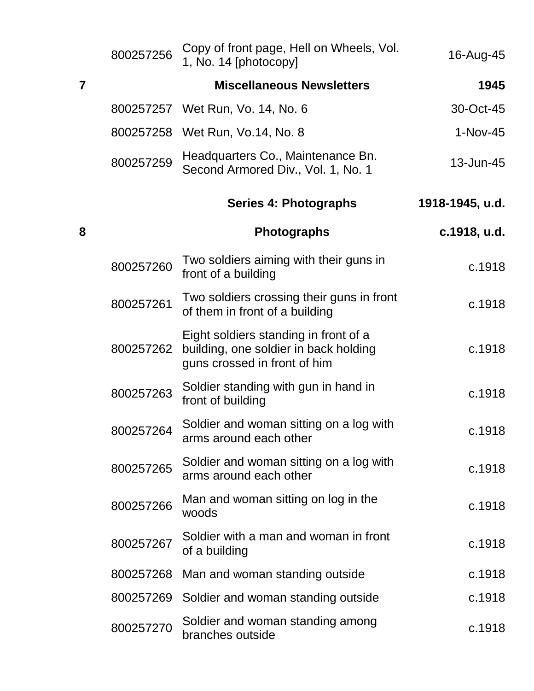|                | 800257256 | Copy of front page, Hell on Wheels, Vol.<br>1, No. 14 [photocopy]                                              | 16-Aug-45       |
|----------------|-----------|----------------------------------------------------------------------------------------------------------------|-----------------|
| $\overline{7}$ |           | <b>Miscellaneous Newsletters</b>                                                                               | 1945            |
|                |           | 800257257 Wet Run, Vo. 14, No. 6                                                                               | 30-Oct-45       |
|                |           | 800257258 Wet Run, Vo.14, No. 8                                                                                | $1-Nov-45$      |
|                | 800257259 | Headquarters Co., Maintenance Bn.<br>Second Armored Div., Vol. 1, No. 1                                        | 13-Jun-45       |
|                |           | Series 4: Photographs                                                                                          | 1918-1945, u.d. |
| 8              |           | <b>Photographs</b>                                                                                             | c.1918, u.d.    |
|                | 800257260 | Two soldiers aiming with their guns in<br>front of a building                                                  | c.1918          |
|                | 800257261 | Two soldiers crossing their guns in front<br>of them in front of a building                                    | c.1918          |
|                | 800257262 | Eight soldiers standing in front of a<br>building, one soldier in back holding<br>guns crossed in front of him | c.1918          |
|                | 800257263 | Soldier standing with gun in hand in<br>front of building                                                      | c.1918          |
|                | 800257264 | Soldier and woman sitting on a log with<br>arms around each other                                              | c.1918          |
|                | 800257265 | Soldier and woman sitting on a log with<br>arms around each other                                              | c.1918          |
|                | 800257266 | Man and woman sitting on log in the<br>woods                                                                   | c.1918          |
|                | 800257267 | Soldier with a man and woman in front<br>of a building                                                         | c.1918          |
|                | 800257268 | Man and woman standing outside                                                                                 | c.1918          |
|                | 800257269 | Soldier and woman standing outside                                                                             | c.1918          |
|                | 800257270 | Soldier and woman standing among<br>branches outside                                                           | c.1918          |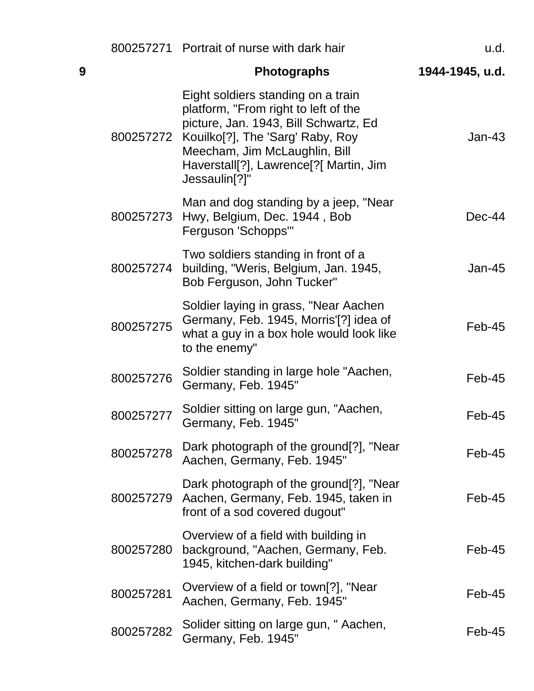|   |           | 800257271 Portrait of nurse with dark hair                                                                                                                                                                                                                                | u.d.            |
|---|-----------|---------------------------------------------------------------------------------------------------------------------------------------------------------------------------------------------------------------------------------------------------------------------------|-----------------|
| 9 |           | <b>Photographs</b>                                                                                                                                                                                                                                                        | 1944-1945, u.d. |
|   |           | Eight soldiers standing on a train<br>platform, "From right to left of the<br>picture, Jan. 1943, Bill Schwartz, Ed<br>800257272 Kouilko[?], The 'Sarg' Raby, Roy<br>Meecham, Jim McLaughlin, Bill<br>Haverstall[?], Lawrence[?[ Martin, Jim<br>Jessaulin <sup>[?]"</sup> | $Jan-43$        |
|   |           | Man and dog standing by a jeep, "Near<br>800257273 Hwy, Belgium, Dec. 1944, Bob<br>Ferguson 'Schopps'"                                                                                                                                                                    | $Dec-44$        |
|   | 800257274 | Two soldiers standing in front of a<br>building, "Weris, Belgium, Jan. 1945,<br>Bob Ferguson, John Tucker"                                                                                                                                                                | $Jan-45$        |
|   | 800257275 | Soldier laying in grass, "Near Aachen<br>Germany, Feb. 1945, Morris'[?] idea of<br>what a guy in a box hole would look like<br>to the enemy"                                                                                                                              | Feb-45          |
|   | 800257276 | Soldier standing in large hole "Aachen,<br>Germany, Feb. 1945"                                                                                                                                                                                                            | Feb-45          |
|   | 800257277 | Soldier sitting on large gun, "Aachen,<br>Germany, Feb. 1945"                                                                                                                                                                                                             | Feb-45          |
|   | 800257278 | Dark photograph of the ground[?], "Near<br>Aachen, Germany, Feb. 1945"                                                                                                                                                                                                    | Feb-45          |
|   | 800257279 | Dark photograph of the ground[?], "Near<br>Aachen, Germany, Feb. 1945, taken in<br>front of a sod covered dugout"                                                                                                                                                         | Feb-45          |
|   | 800257280 | Overview of a field with building in<br>background, "Aachen, Germany, Feb.<br>1945, kitchen-dark building"                                                                                                                                                                | Feb-45          |
|   | 800257281 | Overview of a field or town[?], "Near<br>Aachen, Germany, Feb. 1945"                                                                                                                                                                                                      | Feb-45          |
|   | 800257282 | Solider sitting on large gun, " Aachen,<br>Germany, Feb. 1945"                                                                                                                                                                                                            | Feb-45          |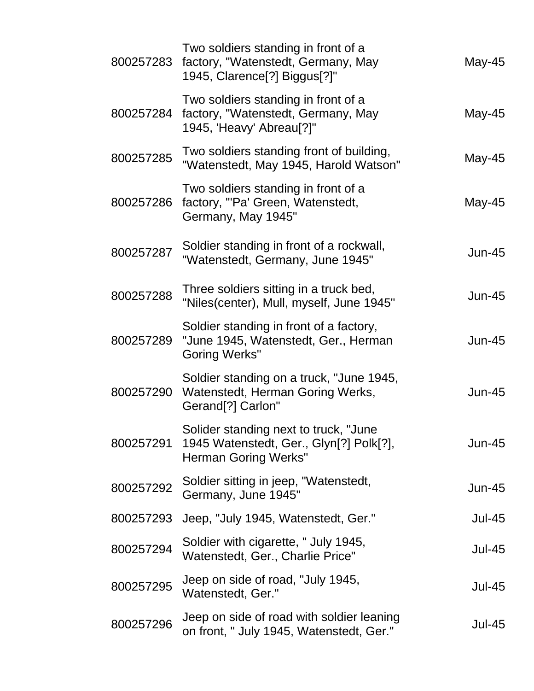| 800257283 | Two soldiers standing in front of a<br>factory, "Watenstedt, Germany, May<br>1945, Clarence[?] Biggus[?]"       | May-45        |
|-----------|-----------------------------------------------------------------------------------------------------------------|---------------|
| 800257284 | Two soldiers standing in front of a<br>factory, "Watenstedt, Germany, May<br>1945, 'Heavy' Abreau[?]"           | May-45        |
| 800257285 | Two soldiers standing front of building,<br>"Watenstedt, May 1945, Harold Watson"                               | May-45        |
| 800257286 | Two soldiers standing in front of a<br>factory, "'Pa' Green, Watenstedt,<br>Germany, May 1945"                  | May-45        |
| 800257287 | Soldier standing in front of a rockwall,<br>"Watenstedt, Germany, June 1945"                                    | $Jun-45$      |
| 800257288 | Three soldiers sitting in a truck bed,<br>"Niles(center), Mull, myself, June 1945"                              | $Jun-45$      |
| 800257289 | Soldier standing in front of a factory,<br>"June 1945, Watenstedt, Ger., Herman<br><b>Goring Werks"</b>         | $Jun-45$      |
| 800257290 | Soldier standing on a truck, "June 1945,<br>Watenstedt, Herman Goring Werks,<br>Gerand <sup>[?]</sup> Carlon"   | $Jun-45$      |
| 800257291 | Solider standing next to truck, "June<br>1945 Watenstedt, Ger., Glyn[?] Polk[?],<br><b>Herman Goring Werks"</b> | $Jun-45$      |
| 800257292 | Soldier sitting in jeep, "Watenstedt,<br>Germany, June 1945"                                                    | $Jun-45$      |
| 800257293 | Jeep, "July 1945, Watenstedt, Ger."                                                                             | <b>Jul-45</b> |
| 800257294 | Soldier with cigarette, " July 1945,<br>Watenstedt, Ger., Charlie Price"                                        | <b>Jul-45</b> |
| 800257295 | Jeep on side of road, "July 1945,<br>Watenstedt, Ger."                                                          | <b>Jul-45</b> |
| 800257296 | Jeep on side of road with soldier leaning<br>on front, " July 1945, Watenstedt, Ger."                           | <b>Jul-45</b> |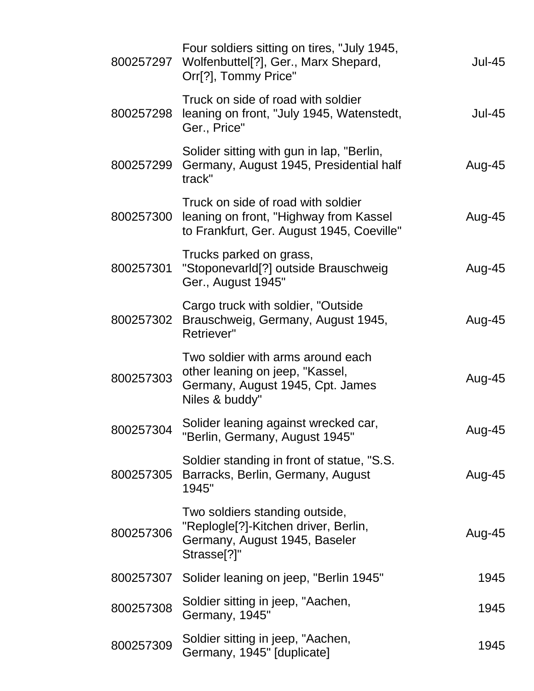| 800257297 | Four soldiers sitting on tires, "July 1945,<br>Wolfenbuttel[?], Ger., Marx Shepard,<br>Orr[?], Tommy Price"                        | <b>Jul-45</b> |
|-----------|------------------------------------------------------------------------------------------------------------------------------------|---------------|
| 800257298 | Truck on side of road with soldier<br>leaning on front, "July 1945, Watenstedt,<br>Ger., Price"                                    | <b>Jul-45</b> |
| 800257299 | Solider sitting with gun in lap, "Berlin,<br>Germany, August 1945, Presidential half<br>track"                                     | Aug-45        |
| 800257300 | Truck on side of road with soldier<br>leaning on front, "Highway from Kassel<br>to Frankfurt, Ger. August 1945, Coeville"          | Aug-45        |
| 800257301 | Trucks parked on grass,<br>"StoponevarId[?] outside Brauschweig<br>Ger., August 1945"                                              | Aug-45        |
| 800257302 | Cargo truck with soldier, "Outside"<br>Brauschweig, Germany, August 1945,<br>Retriever"                                            | Aug-45        |
| 800257303 | Two soldier with arms around each<br>other leaning on jeep, "Kassel,<br>Germany, August 1945, Cpt. James<br>Niles & buddy"         | Aug-45        |
| 800257304 | Solider leaning against wrecked car,<br>"Berlin, Germany, August 1945"                                                             | Aug-45        |
| 800257305 | Soldier standing in front of statue, "S.S.<br>Barracks, Berlin, Germany, August<br>1945"                                           | Aug-45        |
| 800257306 | Two soldiers standing outside,<br>"Replogle[?]-Kitchen driver, Berlin,<br>Germany, August 1945, Baseler<br>Strasse <sup>[?]"</sup> | Aug-45        |
| 800257307 | Solider leaning on jeep, "Berlin 1945"                                                                                             | 1945          |
| 800257308 | Soldier sitting in jeep, "Aachen,<br>Germany, 1945"                                                                                | 1945          |
| 800257309 | Soldier sitting in jeep, "Aachen,<br>Germany, 1945" [duplicate]                                                                    | 1945          |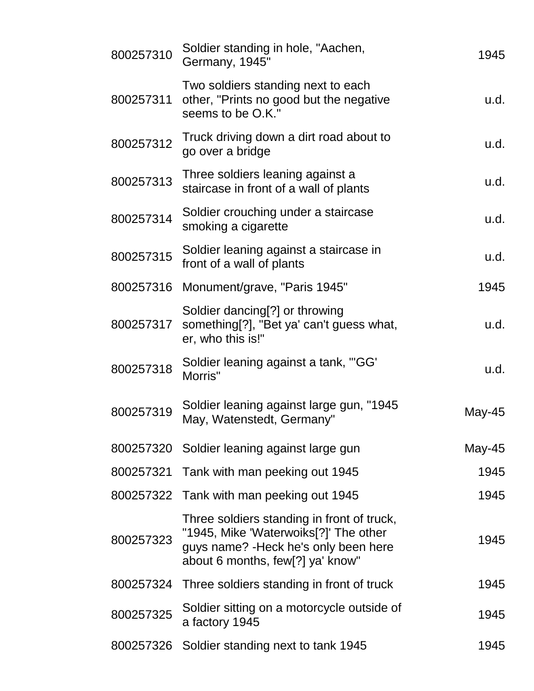| Soldier standing in hole, "Aachen,<br>Germany, 1945"                                                                                                             | 1945   |
|------------------------------------------------------------------------------------------------------------------------------------------------------------------|--------|
| Two soldiers standing next to each<br>other, "Prints no good but the negative<br>seems to be O.K."                                                               | u.d.   |
| Truck driving down a dirt road about to<br>go over a bridge                                                                                                      | u.d.   |
| Three soldiers leaning against a<br>staircase in front of a wall of plants                                                                                       | u.d.   |
| Soldier crouching under a staircase<br>smoking a cigarette                                                                                                       | u.d.   |
| Soldier leaning against a staircase in<br>front of a wall of plants                                                                                              | u.d.   |
| Monument/grave, "Paris 1945"<br>800257316                                                                                                                        | 1945   |
| Soldier dancing[?] or throwing<br>something[?], "Bet ya' can't guess what,<br>er, who this is!"                                                                  | u.d.   |
| Soldier leaning against a tank, "GG"<br>Morris"                                                                                                                  | u.d.   |
| Soldier leaning against large gun, "1945<br>May, Watenstedt, Germany"                                                                                            | May-45 |
| 800257320 Soldier leaning against large gun                                                                                                                      | May-45 |
| 800257321<br>Tank with man peeking out 1945                                                                                                                      | 1945   |
| Tank with man peeking out 1945                                                                                                                                   | 1945   |
| Three soldiers standing in front of truck,<br>"1945, Mike 'Waterwoiks[?]' The other<br>guys name? - Heck he's only been here<br>about 6 months, few[?] ya' know" | 1945   |
| Three soldiers standing in front of truck                                                                                                                        | 1945   |
| Soldier sitting on a motorcycle outside of<br>a factory 1945                                                                                                     | 1945   |
| 800257326 Soldier standing next to tank 1945                                                                                                                     | 1945   |
|                                                                                                                                                                  |        |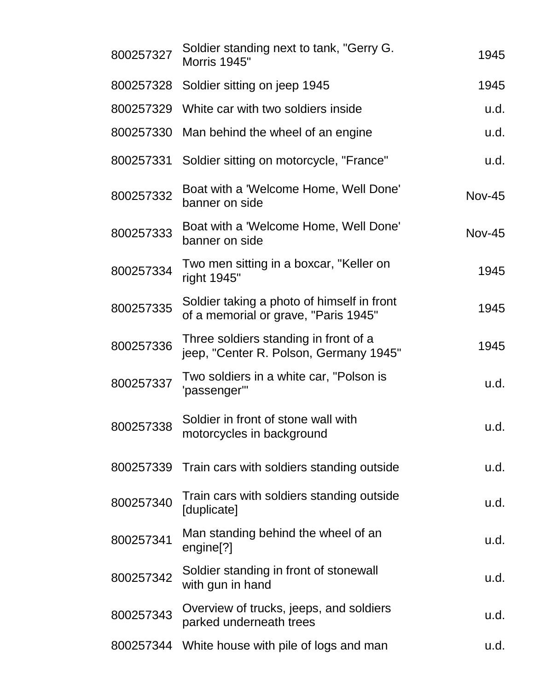| 800257327 | Soldier standing next to tank, "Gerry G.<br><b>Morris 1945"</b>                    | 1945          |
|-----------|------------------------------------------------------------------------------------|---------------|
|           | 800257328 Soldier sitting on jeep 1945                                             | 1945          |
| 800257329 | White car with two soldiers inside                                                 | u.d.          |
| 800257330 | Man behind the wheel of an engine                                                  | u.d.          |
| 800257331 | Soldier sitting on motorcycle, "France"                                            | u.d.          |
| 800257332 | Boat with a 'Welcome Home, Well Done'<br>banner on side                            | <b>Nov-45</b> |
| 800257333 | Boat with a 'Welcome Home, Well Done'<br>banner on side                            | <b>Nov-45</b> |
| 800257334 | Two men sitting in a boxcar, "Keller on<br>right 1945"                             | 1945          |
| 800257335 | Soldier taking a photo of himself in front<br>of a memorial or grave, "Paris 1945" | 1945          |
| 800257336 | Three soldiers standing in front of a<br>jeep, "Center R. Polson, Germany 1945"    | 1945          |
| 800257337 | Two soldiers in a white car, "Polson is<br>'passenger'"                            | u.d.          |
| 800257338 | Soldier in front of stone wall with<br>motorcycles in background                   | u.d.          |
| 800257339 | Train cars with soldiers standing outside                                          | u.d.          |
| 800257340 | Train cars with soldiers standing outside<br>[duplicate]                           | u.d.          |
| 800257341 | Man standing behind the wheel of an<br>engine <sup>[?]</sup>                       | u.d.          |
| 800257342 | Soldier standing in front of stonewall<br>with gun in hand                         | u.d.          |
| 800257343 | Overview of trucks, jeeps, and soldiers<br>parked underneath trees                 | u.d.          |
| 800257344 | White house with pile of logs and man                                              | u.d.          |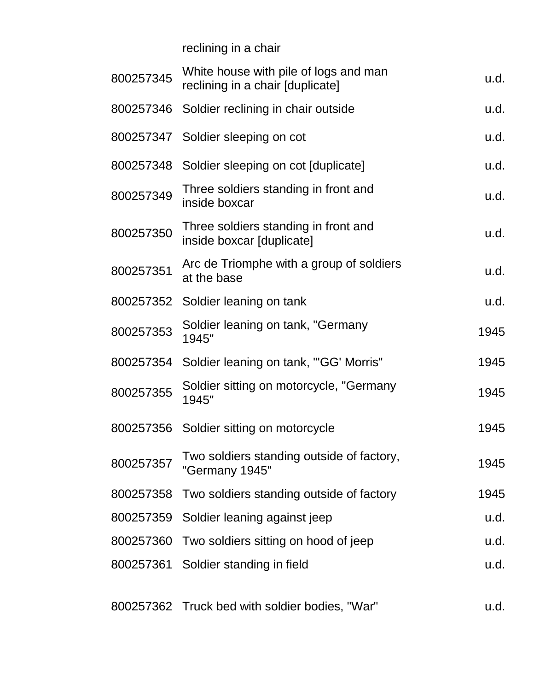reclining in a chair

| 800257345 | White house with pile of logs and man<br>reclining in a chair [duplicate] | u.d. |
|-----------|---------------------------------------------------------------------------|------|
|           | 800257346 Soldier reclining in chair outside                              | u.d. |
|           | 800257347 Soldier sleeping on cot                                         | u.d. |
| 800257348 | Soldier sleeping on cot [duplicate]                                       | u.d. |
| 800257349 | Three soldiers standing in front and<br>inside boxcar                     | u.d. |
| 800257350 | Three soldiers standing in front and<br>inside boxcar [duplicate]         | u.d. |
| 800257351 | Arc de Triomphe with a group of soldiers<br>at the base                   | u.d. |
|           | 800257352 Soldier leaning on tank                                         | u.d. |
| 800257353 | Soldier leaning on tank, "Germany<br>1945"                                | 1945 |
| 800257354 | Soldier leaning on tank, "'GG' Morris"                                    | 1945 |
| 800257355 | Soldier sitting on motorcycle, "Germany<br>1945"                          | 1945 |
|           | 800257356 Soldier sitting on motorcycle                                   | 1945 |
| 800257357 | Two soldiers standing outside of factory,<br>"Germany 1945"               | 1945 |
| 800257358 | Two soldiers standing outside of factory                                  | 1945 |
|           | 800257359 Soldier leaning against jeep                                    | u.d. |
| 800257360 | Two soldiers sitting on hood of jeep                                      | u.d. |
|           | 800257361 Soldier standing in field                                       | u.d. |
|           | 800257362 Truck bed with soldier bodies, "War"                            | u.d. |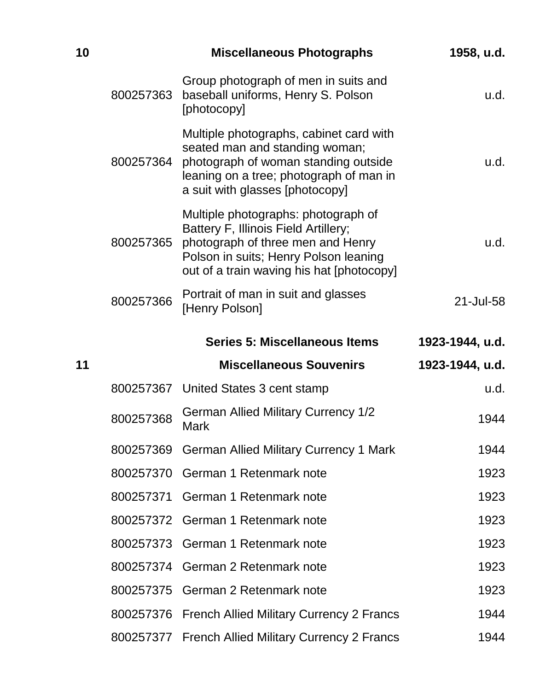| 10 |           | <b>Miscellaneous Photographs</b>                                                                                                                                                                       | 1958, u.d.      |
|----|-----------|--------------------------------------------------------------------------------------------------------------------------------------------------------------------------------------------------------|-----------------|
|    | 800257363 | Group photograph of men in suits and<br>baseball uniforms, Henry S. Polson<br>[photocopy]                                                                                                              | u.d.            |
|    | 800257364 | Multiple photographs, cabinet card with<br>seated man and standing woman;<br>photograph of woman standing outside<br>leaning on a tree; photograph of man in<br>a suit with glasses [photocopy]        | u.d.            |
|    | 800257365 | Multiple photographs: photograph of<br>Battery F, Illinois Field Artillery;<br>photograph of three men and Henry<br>Polson in suits; Henry Polson leaning<br>out of a train waving his hat [photocopy] | u.d.            |
|    | 800257366 | Portrait of man in suit and glasses<br>[Henry Polson]                                                                                                                                                  | 21-Jul-58       |
|    |           | Series 5: Miscellaneous Items                                                                                                                                                                          | 1923-1944, u.d. |
|    |           |                                                                                                                                                                                                        |                 |
| 11 |           | <b>Miscellaneous Souvenirs</b>                                                                                                                                                                         | 1923-1944, u.d. |
|    |           | 800257367 United States 3 cent stamp                                                                                                                                                                   | u.d.            |
|    | 800257368 | <b>German Allied Military Currency 1/2</b><br><b>Mark</b>                                                                                                                                              | 1944            |
|    |           | 800257369 German Allied Military Currency 1 Mark                                                                                                                                                       | 1944            |
|    |           | 800257370 German 1 Retenmark note                                                                                                                                                                      | 1923            |
|    |           | 800257371 German 1 Retenmark note                                                                                                                                                                      | 1923            |
|    | 800257372 | German 1 Retenmark note                                                                                                                                                                                | 1923            |
|    |           | 800257373 German 1 Retenmark note                                                                                                                                                                      | 1923            |
|    |           | 800257374 German 2 Retenmark note                                                                                                                                                                      | 1923            |
|    |           | 800257375 German 2 Retenmark note                                                                                                                                                                      | 1923            |
|    | 800257376 | <b>French Allied Military Currency 2 Francs</b>                                                                                                                                                        | 1944            |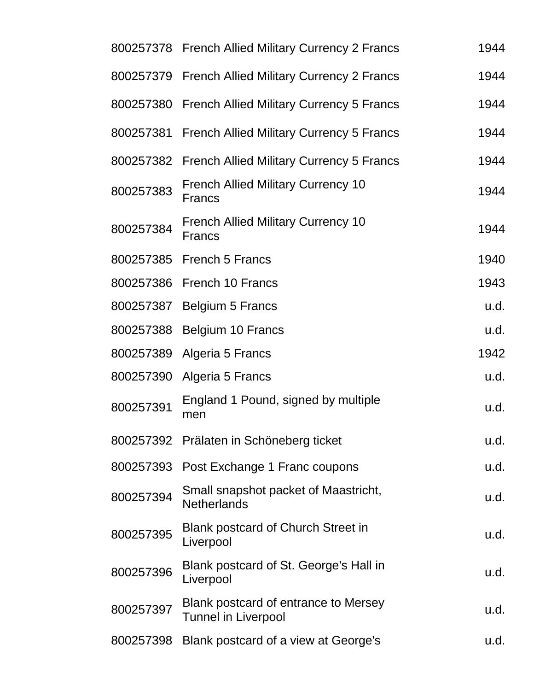|           | 800257378 French Allied Military Currency 2 Francs                 | 1944 |
|-----------|--------------------------------------------------------------------|------|
| 800257379 | <b>French Allied Military Currency 2 Francs</b>                    | 1944 |
| 800257380 | <b>French Allied Military Currency 5 Francs</b>                    | 1944 |
| 800257381 | <b>French Allied Military Currency 5 Francs</b>                    | 1944 |
| 800257382 | <b>French Allied Military Currency 5 Francs</b>                    | 1944 |
| 800257383 | <b>French Allied Military Currency 10</b><br><b>Francs</b>         | 1944 |
| 800257384 | <b>French Allied Military Currency 10</b><br><b>Francs</b>         | 1944 |
| 800257385 | <b>French 5 Francs</b>                                             | 1940 |
| 800257386 | French 10 Francs                                                   | 1943 |
| 800257387 | <b>Belgium 5 Francs</b>                                            | u.d. |
| 800257388 | Belgium 10 Francs                                                  | u.d. |
| 800257389 | Algeria 5 Francs                                                   | 1942 |
| 800257390 | Algeria 5 Francs                                                   | u.d. |
| 800257391 | England 1 Pound, signed by multiple<br>men                         | u.d. |
|           | 800257392 Prälaten in Schöneberg ticket                            | u.d. |
| 800257393 | Post Exchange 1 Franc coupons                                      | u.d. |
| 800257394 | Small snapshot packet of Maastricht,<br><b>Netherlands</b>         | u.d. |
| 800257395 | Blank postcard of Church Street in<br>Liverpool                    | u.d. |
| 800257396 | Blank postcard of St. George's Hall in<br>Liverpool                | u.d. |
| 800257397 | Blank postcard of entrance to Mersey<br><b>Tunnel in Liverpool</b> | u.d. |
| 800257398 | Blank postcard of a view at George's                               | u.d. |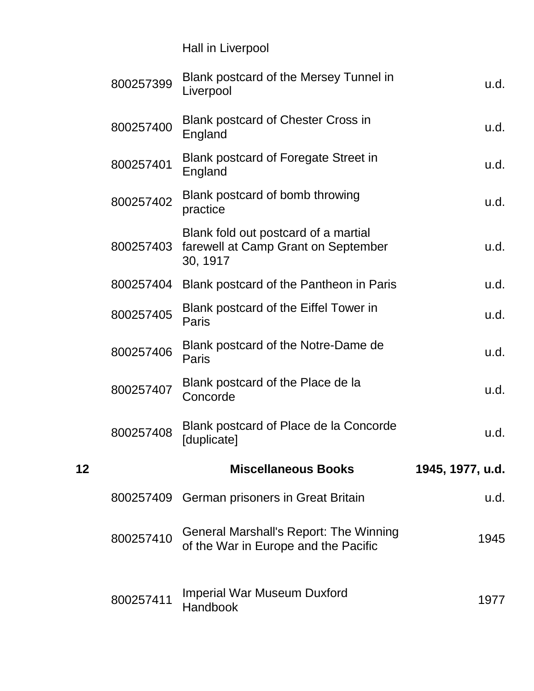|    |           | Hall in Liverpool                                                                       |                  |
|----|-----------|-----------------------------------------------------------------------------------------|------------------|
|    | 800257399 | Blank postcard of the Mersey Tunnel in<br>Liverpool                                     | u.d.             |
|    | 800257400 | <b>Blank postcard of Chester Cross in</b><br>England                                    | u.d.             |
|    | 800257401 | <b>Blank postcard of Foregate Street in</b><br>England                                  | u.d.             |
|    | 800257402 | Blank postcard of bomb throwing<br>practice                                             | u.d.             |
|    | 800257403 | Blank fold out postcard of a martial<br>farewell at Camp Grant on September<br>30, 1917 | u.d.             |
|    |           | 800257404 Blank postcard of the Pantheon in Paris                                       | u.d.             |
|    | 800257405 | Blank postcard of the Eiffel Tower in<br>Paris                                          | u.d.             |
|    | 800257406 | Blank postcard of the Notre-Dame de<br>Paris                                            | u.d.             |
|    | 800257407 | Blank postcard of the Place de la<br>Concorde                                           | u.d.             |
|    | 800257408 | Blank postcard of Place de la Concorde<br>[duplicate]                                   | u.d.             |
| 12 |           | <b>Miscellaneous Books</b>                                                              | 1945, 1977, u.d. |
|    | 800257409 | <b>German prisoners in Great Britain</b>                                                | u.d.             |
|    | 800257410 | <b>General Marshall's Report: The Winning</b><br>of the War in Europe and the Pacific   | 1945             |
|    | 800257411 | <b>Imperial War Museum Duxford</b><br>Handbook                                          | 1977             |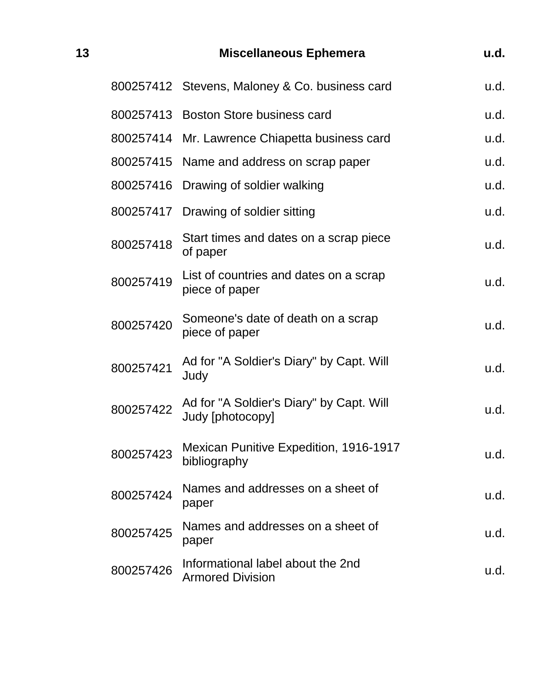| 13 |           | <b>Miscellaneous Ephemera</b>                                | u.d. |
|----|-----------|--------------------------------------------------------------|------|
|    |           | 800257412 Stevens, Maloney & Co. business card               | u.d. |
|    |           | 800257413 Boston Store business card                         | u.d. |
|    |           | 800257414 Mr. Lawrence Chiapetta business card               | u.d. |
|    |           | 800257415 Name and address on scrap paper                    | u.d. |
|    | 800257416 | Drawing of soldier walking                                   | u.d. |
|    |           | 800257417 Drawing of soldier sitting                         | u.d. |
|    | 800257418 | Start times and dates on a scrap piece<br>of paper           | u.d. |
|    | 800257419 | List of countries and dates on a scrap<br>piece of paper     | u.d. |
|    | 800257420 | Someone's date of death on a scrap<br>piece of paper         | u.d. |
|    | 800257421 | Ad for "A Soldier's Diary" by Capt. Will<br>Judy             | u.d. |
|    | 800257422 | Ad for "A Soldier's Diary" by Capt. Will<br>Judy [photocopy] | u.d. |
|    | 800257423 | Mexican Punitive Expedition, 1916-1917<br>bibliography       | u.d. |
|    | 800257424 | Names and addresses on a sheet of<br>paper                   | u.d. |
|    | 800257425 | Names and addresses on a sheet of<br>paper                   | u.d. |
|    | 800257426 | Informational label about the 2nd<br><b>Armored Division</b> | u.d. |